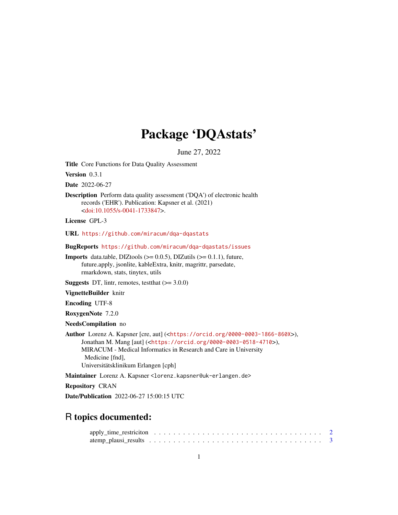# Package 'DQAstats'

June 27, 2022

Title Core Functions for Data Quality Assessment

Version 0.3.1

Date 2022-06-27

Description Perform data quality assessment ('DQA') of electronic health records ('EHR'). Publication: Kapsner et al. (2021) [<doi:10.1055/s-0041-1733847>](https://doi.org/10.1055/s-0041-1733847).

License GPL-3

URL <https://github.com/miracum/dqa-dqastats>

BugReports <https://github.com/miracum/dqa-dqastats/issues>

**Imports** data.table, DIZtools  $(>= 0.0.5)$ , DIZutils  $(>= 0.1.1)$ , future, future.apply, jsonlite, kableExtra, knitr, magrittr, parsedate, rmarkdown, stats, tinytex, utils

**Suggests** DT, lintr, remotes, test that  $(>= 3.0.0)$ 

VignetteBuilder knitr

Encoding UTF-8

RoxygenNote 7.2.0

NeedsCompilation no

Author Lorenz A. Kapsner [cre, aut] (<<https://orcid.org/0000-0003-1866-860X>>), Jonathan M. Mang [aut] (<<https://orcid.org/0000-0003-0518-4710>>), MIRACUM - Medical Informatics in Research and Care in University Medicine [fnd], Universitätsklinikum Erlangen [cph]

Maintainer Lorenz A. Kapsner <lorenz.kapsner@uk-erlangen.de>

Repository CRAN

Date/Publication 2022-06-27 15:00:15 UTC

# R topics documented: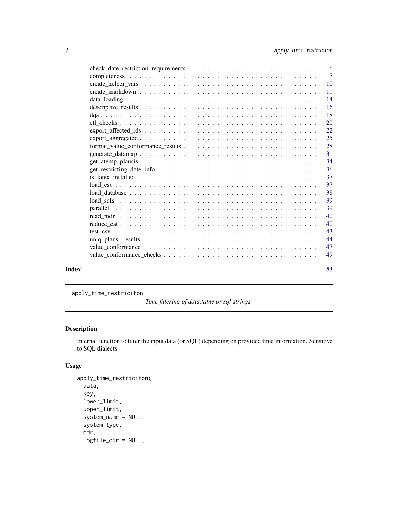<span id="page-1-0"></span>

| Index | 53 |
|-------|----|

apply\_time\_restriciton

*Time filtering of data.table or sql-strings.*

# Description

Internal function to filter the input data (or SQL) depending on provided time information. Sensitive to SQL dialects.

# Usage

```
apply_time_restriciton(
 data,
  key,
  lower_limit,
 upper_limit,
  system_name = NULL,
  system_type,
  mdr,
  logfile_dir = NULL,
```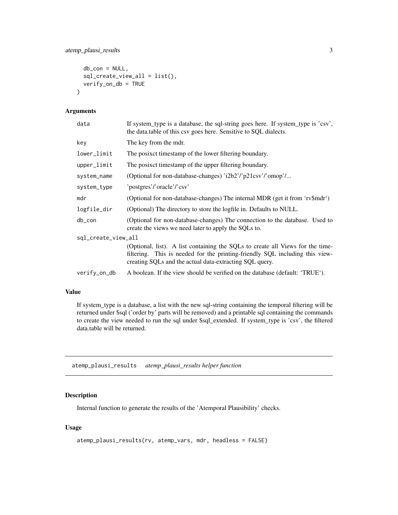```
db_{con} = NULL,sql_create_view_all = list(),
  verify_on_db = TRUE
\mathcal{L}
```
# Arguments

| data                | If system_type is a database, the sql-string goes here. If system_type is 'csv',<br>the data table of this csv goes here. Sensitive to SQL dialects.                                                                      |
|---------------------|---------------------------------------------------------------------------------------------------------------------------------------------------------------------------------------------------------------------------|
| key                 | The key from the mdr.                                                                                                                                                                                                     |
| lower_limit         | The posixet timestamp of the lower filtering boundary.                                                                                                                                                                    |
| upper_limit         | The posixet timestamp of the upper filtering boundary.                                                                                                                                                                    |
| system_name         | (Optional for non-database-changes) 'i2b2'/'p21csv'/'omop'/                                                                                                                                                               |
| system_type         | 'postgres'/'oracle'/'csv'                                                                                                                                                                                                 |
| mdr                 | (Optional for non-database-changes) The internal MDR (get it from 'rv\$mdr')                                                                                                                                              |
| logfile_dir         | (Optional) The directory to store the logfile in. Defaults to NULL.                                                                                                                                                       |
| db_con              | (Optional for non-database-changes) The connection to the database. Used to<br>create the views we need later to apply the SQLs to.                                                                                       |
| sql_create_view_all |                                                                                                                                                                                                                           |
|                     | (Optional, list). A list containing the SQLs to create all Views for the time-<br>filtering. This is needed for the printing-friendly SQL including this view-<br>creating SQLs and the actual data-extracting SQL query. |
| verify_on_db        | A boolean. If the view should be verified on the database (default: 'TRUE').                                                                                                                                              |
|                     |                                                                                                                                                                                                                           |

# Value

If system\_type is a database, a list with the new sql-string containing the temporal filtering will be returned under \$sql ('order by' parts will be removed) and a printable sql containing the commands to create the view needed to run the sql under \$sql\_extended. If system\_type is 'csv', the filtered data.table will be returned.

atemp\_plausi\_results *atemp\_plausi\_results helper function*

# Description

Internal function to generate the results of the 'Atemporal Plausibility' checks.

### Usage

```
atemp_plausi_results(rv, atemp_vars, mdr, headless = FALSE)
```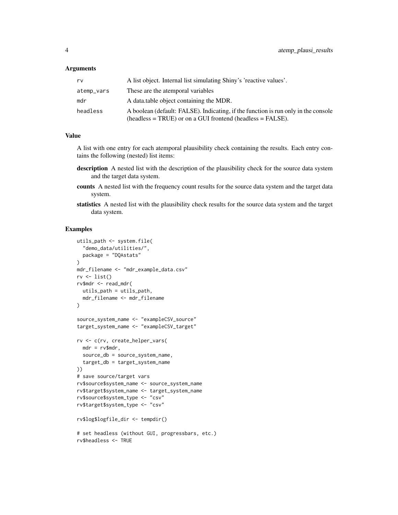#### **Arguments**

| rv         | A list object. Internal list simulating Shiny's 'reactive values'.                                                                              |
|------------|-------------------------------------------------------------------------------------------------------------------------------------------------|
| atemp_vars | These are the atemporal variables                                                                                                               |
| mdr        | A data table object containing the MDR.                                                                                                         |
| headless   | A boolean (default: FALSE). Indicating, if the function is run only in the console<br>$(heads = TRUE)$ or on a GUI frontend $(heads = FALSE)$ . |

# Value

A list with one entry for each atemporal plausibility check containing the results. Each entry contains the following (nested) list items:

- description A nested list with the description of the plausibility check for the source data system and the target data system.
- counts A nested list with the frequency count results for the source data system and the target data system.
- statistics A nested list with the plausibility check results for the source data system and the target data system.

```
utils_path <- system.file(
  "demo_data/utilities/",
  package = "DQAstats"
)
mdr_filename <- "mdr_example_data.csv"
rv \leftarrow list()rv$mdr <- read_mdr(
 utils_path = utils_path,
  mdr_filename <- mdr_filename
)
source_system_name <- "exampleCSV_source"
target_system_name <- "exampleCSV_target"
rv <- c(rv, create_helper_vars(
 mdr = rv$mdr,source_db = source_system_name,
  target_db = target_system_name
))
# save source/target vars
rv$source$system_name <- source_system_name
rv$target$system_name <- target_system_name
rv$source$system_type <- "csv"
rv$target$system_type <- "csv"
rv$log$logfile_dir <- tempdir()
# set headless (without GUI, progressbars, etc.)
rv$headless <- TRUE
```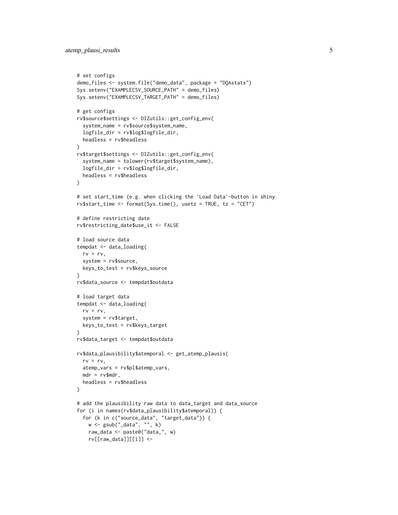```
# set configs
demo_files <- system.file("demo_data", package = "DQAstats")
Sys.setenv("EXAMPLECSV_SOURCE_PATH" = demo_files)
Sys.setenv("EXAMPLECSV_TARGET_PATH" = demo_files)
# get configs
rv$source$settings <- DIZutils::get_config_env(
  system_name = rv$source$system_name,
  logfile_dir = rv$log$logfile_dir,
  headless = rv$headless
\lambdarv$target$settings <- DIZutils::get_config_env(
  system_name = tolower(rv$target$system_name),
  logfile_dir = rv$log$logfile_dir,
 headless = rv$headless
)
# set start_time (e.g. when clicking the 'Load Data'-button in shiny
rv$start_time <- format(Sys.time(), usetz = TRUE, tz = "CET")
# define restricting date
rv$restricting_date$use_it <- FALSE
# load source data
tempdat <- data_loading(
  rv = rv,system = rv$source,
 keys_to_test = rv$keys_source
\lambdarv$data_source <- tempdat$outdata
# load target data
tempdat <- data_loading(
 rv = rv,
  system = rv$target,
  keys_to_test = rv$keys_target
\lambdarv$data_target <- tempdat$outdata
rv$data_plausibility$atemporal <- get_atemp_plausis(
  rv = rv,atemp_vars = rv$pl$atemp_vars,
  mdr = rv$mdr,
 headless = rv$headless
\lambda# add the plausibility raw data to data_target and data_source
for (i in names(rv$data_plausibility$atemporal)) {
  for (k in c("source_data", "target_data")) {
   w <- gsub("_data", "", k)
    raw_data <- paste0("data_", w)
    rv[[raw_data]][[i]] <-
```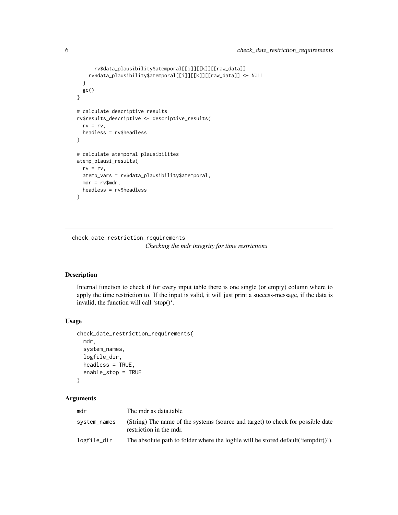```
rv$data_plausibility$atemporal[[i]][[k]][[raw_data]]
   rv$data_plausibility$atemporal[[i]][[k]][[raw_data]] <- NULL
 }
 gc()
}
# calculate descriptive results
rv$results_descriptive <- descriptive_results(
 rv = rv.
 headless = rv$headless
)
# calculate atemporal plausibilites
atemp_plausi_results(
 rv = rv,atemp_vars = rv$data_plausibility$atemporal,
 mdr = rv$mdr,
 headless = rv$headless
)
```
check\_date\_restriction\_requirements

*Checking the mdr integrity for time restrictions*

# Description

Internal function to check if for every input table there is one single (or empty) column where to apply the time restriction to. If the input is valid, it will just print a success-message, if the data is invalid, the function will call 'stop()'.

# Usage

```
check_date_restriction_requirements(
  mdr,
  system_names,
  logfile_dir,
  headless = TRUE,
  enable_stop = TRUE
)
```
#### Arguments

| mdr          | The mdr as data.table                                                                                      |
|--------------|------------------------------------------------------------------------------------------------------------|
| system_names | (String) The name of the systems (source and target) to check for possible date<br>restriction in the mdr. |
| logfile_dir  | The absolute path to folder where the logfile will be stored default ('tempdir()').                        |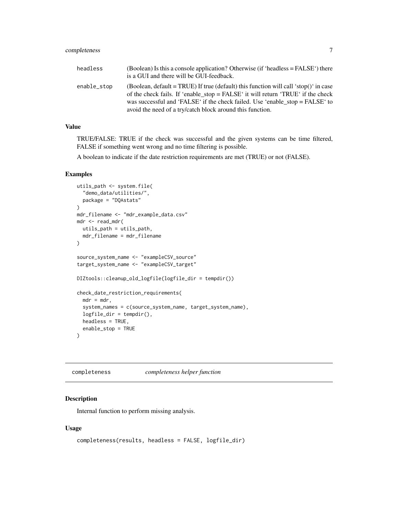<span id="page-6-0"></span>

| headless    | (Boolean) Is this a console application? Otherwise (if 'headless $=$ FALSE') there<br>is a GUI and there will be GUI-feedback.                                                                                                                                                                                       |
|-------------|----------------------------------------------------------------------------------------------------------------------------------------------------------------------------------------------------------------------------------------------------------------------------------------------------------------------|
| enable_stop | (Boolean, default = TRUE) If true (default) this function will call 'stop()' in case<br>of the check fails. If 'enable_stop = FALSE' it will return 'TRUE' if the check<br>was successful and 'FALSE' if the check failed. Use 'enable_stop = FALSE' to<br>avoid the need of a try/catch block around this function. |

# Value

TRUE/FALSE: TRUE if the check was successful and the given systems can be time filtered, FALSE if something went wrong and no time filtering is possible.

A boolean to indicate if the date restriction requirements are met (TRUE) or not (FALSE).

#### Examples

```
utils_path <- system.file(
  "demo_data/utilities/",
  package = "DQAstats"
)
mdr_filename <- "mdr_example_data.csv"
mdr <- read_mdr(
  utils_path = utils_path,
  mdr_filename = mdr_filename
)
source_system_name <- "exampleCSV_source"
target_system_name <- "exampleCSV_target"
DIZtools::cleanup_old_logfile(logfile_dir = tempdir())
check_date_restriction_requirements(
  mdr = mdr,
  system_names = c(source_system_name, target_system_name),
  logfile_dir = tempdir(),
  headless = TRUE,
  enable_stop = TRUE
\mathcal{L}
```
completeness *completeness helper function*

# Description

Internal function to perform missing analysis.

#### Usage

```
completeness(results, headless = FALSE, logfile_dir)
```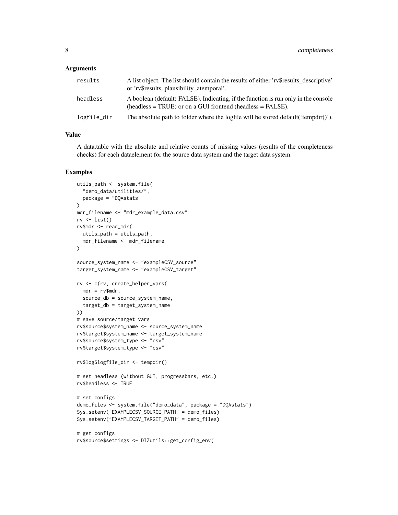#### **Arguments**

| results     | A list object. The list should contain the results of either 'refresults' descriptive'<br>or 'rv\$results_plausibility_atemporal'.                 |
|-------------|----------------------------------------------------------------------------------------------------------------------------------------------------|
| headless    | A boolean (default: FALSE). Indicating, if the function is run only in the console<br>$(headless = TRUE)$ or on a GUI frontend (headless = FALSE). |
| logfile_dir | The absolute path to folder where the logfile will be stored default ('tempdir()').                                                                |

# Value

A data.table with the absolute and relative counts of missing values (results of the completeness checks) for each dataelement for the source data system and the target data system.

```
utils_path <- system.file(
  "demo_data/utilities/",
  package = "DQAstats"
\lambdamdr_filename <- "mdr_example_data.csv"
rv \leftarrow list()rv$mdr <- read_mdr(
 utils_path = utils_path,
 mdr_filename <- mdr_filename
)
source_system_name <- "exampleCSV_source"
target_system_name <- "exampleCSV_target"
rv <- c(rv, create_helper_vars(
 mdr = rv$mdr,
  source_db = source_system_name,
  target_db = target_system_name
))
# save source/target vars
rv$source$system_name <- source_system_name
rv$target$system_name <- target_system_name
rv$source$system_type <- "csv"
rv$target$system_type <- "csv"
rv$log$logfile_dir <- tempdir()
# set headless (without GUI, progressbars, etc.)
rv$headless <- TRUE
# set configs
demo_files <- system.file("demo_data", package = "DQAstats")
Sys.setenv("EXAMPLECSV_SOURCE_PATH" = demo_files)
Sys.setenv("EXAMPLECSV_TARGET_PATH" = demo_files)
# get configs
rv$source$settings <- DIZutils::get_config_env(
```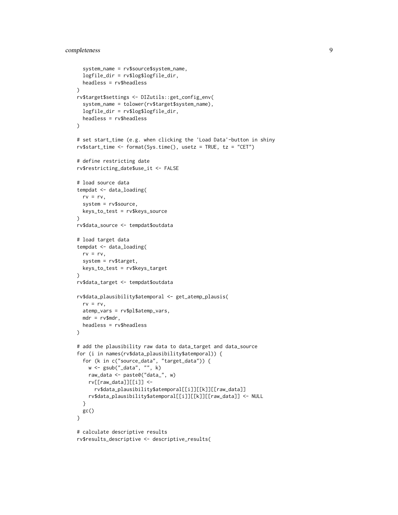```
system_name = rv$source$system_name,
  logfile_dir = rv$log$logfile_dir,
  headless = rv$headless
)
rv$target$settings <- DIZutils::get_config_env(
  system_name = tolower(rv$target$system_name),
  logfile_dir = rv$log$logfile_dir,
  headless = rv$headless
\lambda# set start_time (e.g. when clicking the 'Load Data'-button in shiny
rv$start_time <- format(Sys.time(), usetz = TRUE, tz = "CET")
# define restricting date
rv$restricting_date$use_it <- FALSE
# load source data
tempdat <- data_loading(
 rv = rv,system = rv$source,
  keys_to_test = rv$keys_source
\lambdarv$data_source <- tempdat$outdata
# load target data
tempdat <- data_loading(
  rv = rv,system = rv$target,
 keys_to_test = rv$keys_target
\lambdarv$data_target <- tempdat$outdata
rv$data_plausibility$atemporal <- get_atemp_plausis(
 rv = rv,atemp_vars = rv$pl$atemp_vars,
  mdr = rv$mdr,
  headless = rv$headless
\lambda# add the plausibility raw data to data_target and data_source
for (i in names(rv$data_plausibility$atemporal)) {
  for (k in c("source_data", "target_data")) {
   w <- gsub("_data", "", k)
   raw_data <- paste0("data_", w)
   rv[[raw_data]][[i]] <-
      rv$data_plausibility$atemporal[[i]][[k]][[raw_data]]
   rv$data_plausibility$atemporal[[i]][[k]][[raw_data]] <- NULL
  }
  gc()
}
# calculate descriptive results
rv$results_descriptive <- descriptive_results(
```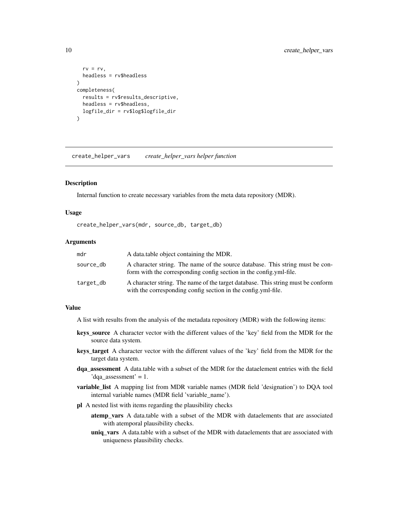```
rv = rv,headless = rv$headless
)
completeness(
  results = rv$results_descriptive,
  headless = rv$headless,
  logfile_dir = rv$log$logfile_dir
\mathcal{L}
```
create\_helper\_vars *create\_helper\_vars helper function*

#### **Description**

Internal function to create necessary variables from the meta data repository (MDR).

#### Usage

create\_helper\_vars(mdr, source\_db, target\_db)

#### **Arguments**

| mdr       | A data table object containing the MDR.                                                                                                             |
|-----------|-----------------------------------------------------------------------------------------------------------------------------------------------------|
| source_db | A character string. The name of the source database. This string must be con-<br>form with the corresponding config section in the config.yml-file. |
| target_db | A character string. The name of the target database. This string must be conform<br>with the corresponding config section in the config.yml-file.   |

# Value

A list with results from the analysis of the metadata repository (MDR) with the following items:

- keys\_source A character vector with the different values of the 'key' field from the MDR for the source data system.
- keys\_target A character vector with the different values of the 'key' field from the MDR for the target data system.
- dqa\_assessment A data.table with a subset of the MDR for the dataelement entries with the field 'dqa assessment' = 1.
- variable\_list A mapping list from MDR variable names (MDR field 'designation') to DQA tool internal variable names (MDR field 'variable\_name').
- pl A nested list with items regarding the plausibility checks
	- atemp\_vars A data.table with a subset of the MDR with dataelements that are associated with atemporal plausibility checks.
	- uniq\_vars A data.table with a subset of the MDR with dataelements that are associated with uniqueness plausibility checks.

<span id="page-9-0"></span>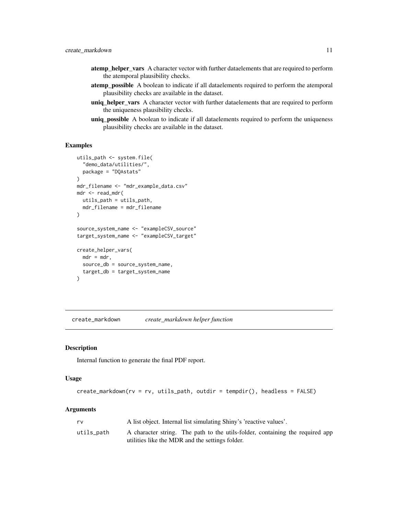- <span id="page-10-0"></span>atemp\_helper\_vars A character vector with further dataelements that are required to perform the atemporal plausibility checks.
- atemp\_possible A boolean to indicate if all dataelements required to perform the atemporal plausibility checks are available in the dataset.
- uniq\_helper\_vars A character vector with further dataelements that are required to perform the uniqueness plausibility checks.
- uniq\_possible A boolean to indicate if all dataelements required to perform the uniqueness plausibility checks are available in the dataset.

#### Examples

```
utils_path <- system.file(
  "demo_data/utilities/",
  package = "DQAstats"
)
mdr_filename <- "mdr_example_data.csv"
mdr <- read_mdr(
 utils_path = utils_path,
  mdr_filename = mdr_filename
\mathcal{L}source_system_name <- "exampleCSV_source"
target_system_name <- "exampleCSV_target"
create_helper_vars(
  mdr = mdr,
  source_db = source_system_name,
  target_db = target_system_name
\mathcal{L}
```
create\_markdown *create\_markdown helper function*

#### Description

Internal function to generate the final PDF report.

#### Usage

```
create_markdown(rv = rv, utils_path, outdir = tempdir(), headless = FALSE)
```
#### Arguments

| rv         | A list object. Internal list simulating Shiny's 'reactive values'.            |
|------------|-------------------------------------------------------------------------------|
| utils_path | A character string. The path to the utils-folder, containing the required app |
|            | utilities like the MDR and the settings folder.                               |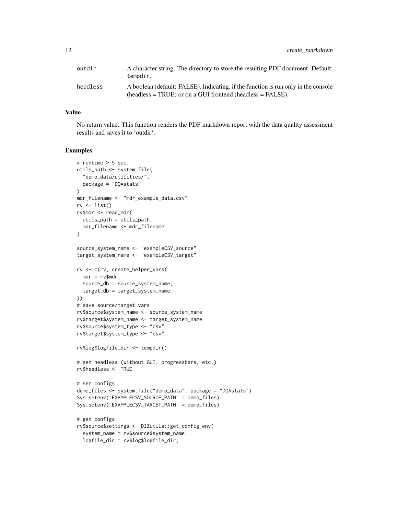| outdir   | A character string. The directory to store the resulting PDF document. Default:<br>tempdir.                                                           |
|----------|-------------------------------------------------------------------------------------------------------------------------------------------------------|
| headless | A boolean (default: FALSE). Indicating, if the function is run only in the console<br>$(headless = TRUE)$ or on a GUI frontend (headless $= FALSE$ ). |

# Value

No return value. This function renders the PDF markdown report with the data quality assessment results and saves it to 'outdir'.

```
# runtime > 5 sec.
utils_path <- system.file(
  "demo_data/utilities/",
 package = "DQAstats"
\lambdamdr_filename <- "mdr_example_data.csv"
rv \leftarrow list()rv$mdr <- read_mdr(
 utils_path = utils_path,
 mdr_filename <- mdr_filename
)
source_system_name <- "exampleCSV_source"
target_system_name <- "exampleCSV_target"
rv <- c(rv, create_helper_vars(
 mdr = rv$mdr.source_db = source_system_name,
  target_db = target_system_name
))
# save source/target vars
rv$source$system_name <- source_system_name
rv$target$system_name <- target_system_name
rv$source$system_type <- "csv"
rv$target$system_type <- "csv"
rv$log$logfile_dir <- tempdir()
# set headless (without GUI, progressbars, etc.)
rv$headless <- TRUE
# set configs
demo_files <- system.file("demo_data", package = "DQAstats")
Sys.setenv("EXAMPLECSV_SOURCE_PATH" = demo_files)
Sys.setenv("EXAMPLECSV_TARGET_PATH" = demo_files)
# get configs
rv$source$settings <- DIZutils::get_config_env(
  system_name = rv$source$system_name,
  logfile_dir = rv$log$logfile_dir,
```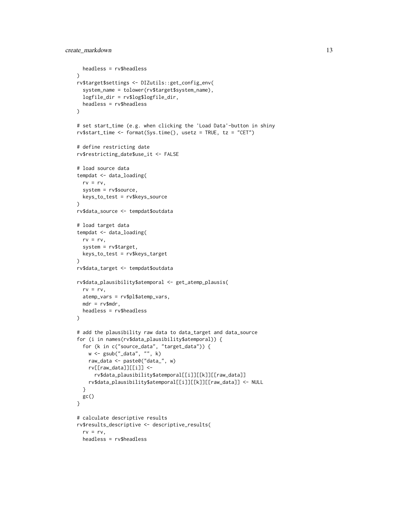```
headless = rv$headless
\lambdarv$target$settings <- DIZutils::get_config_env(
  system_name = tolower(rv$target$system_name),
  logfile_dir = rv$log$logfile_dir,
  headless = rv$headless
\lambda# set start_time (e.g. when clicking the 'Load Data'-button in shiny
rv$start_time <- format(Sys.time(), usetz = TRUE, tz = "CET")
# define restricting date
rv$restricting_date$use_it <- FALSE
# load source data
tempdat <- data_loading(
 rv = rv,system = rv$source,
  keys_to_test = rv$keys_source
)
rv$data_source <- tempdat$outdata
# load target data
tempdat <- data_loading(
  rv = rv,system = rv$target,
  keys_to_test = rv$keys_target
)
rv$data_target <- tempdat$outdata
rv$data_plausibility$atemporal <- get_atemp_plausis(
 rv = rv,atemp_vars = rv$pl$atemp_vars,
  mdr = rv$mdr,
  headless = rv$headless
\lambda# add the plausibility raw data to data_target and data_source
for (i in names(rv$data_plausibility$atemporal)) {
  for (k in c("source_data", "target_data")) {
   w <- gsub("_data", "", k)
   raw_data <- paste0("data_", w)
   rv[[raw_data]][[i]] <-
      rv$data_plausibility$atemporal[[i]][[k]][[raw_data]]
   rv$data_plausibility$atemporal[[i]][[k]][[raw_data]] <- NULL
  }
 gc()
}
# calculate descriptive results
rv$results_descriptive <- descriptive_results(
  rv = rv,headless = rv$headless
```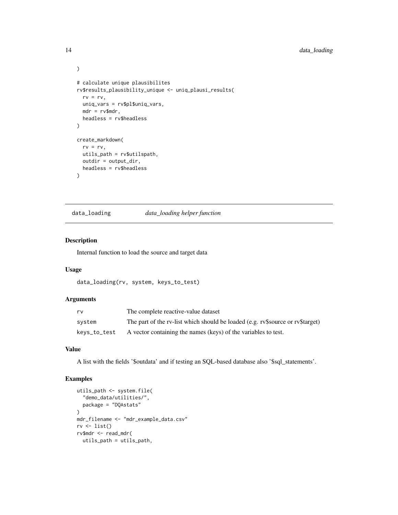```
)
# calculate unique plausibilites
rv$results_plausibility_unique <- uniq_plausi_results(
 rv = rv,uniq_vars = rv$pl$uniq_vars,
 mdr = rv$mdr,
 headless = rv$headless
\lambdacreate_markdown(
  rv = rv,utils_path = rv$utilspath,
  outdir = output_dir,
 headless = rv$headless
)
```
data\_loading *data\_loading helper function*

# Description

Internal function to load the source and target data

#### Usage

```
data_loading(rv, system, keys_to_test)
```
#### Arguments

| rv           | The complete reactive-value dataset                                            |
|--------------|--------------------------------------------------------------------------------|
| system       | The part of the rv-list which should be loaded (e.g. ry Ssource or ry Starget) |
| keys_to_test | A vector containing the names (keys) of the variables to test.                 |

# Value

A list with the fields '\$outdata' and if testing an SQL-based database also '\$sql\_statements'.

```
utils_path <- system.file(
  "demo_data/utilities/",
 package = "DQAstats"
)
mdr_filename <- "mdr_example_data.csv"
rv \leftarrow list()rv$mdr <- read_mdr(
 utils_path = utils_path,
```
<span id="page-13-0"></span>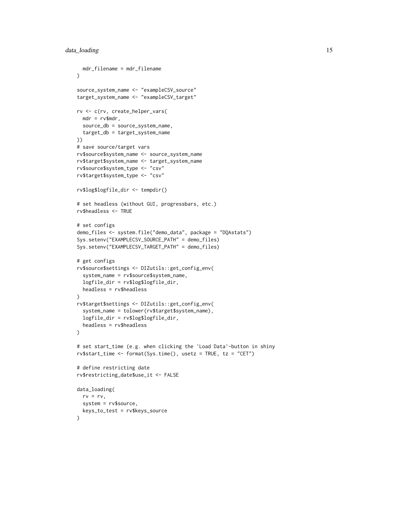```
mdr_filename = mdr_filename
\lambdasource_system_name <- "exampleCSV_source"
target_system_name <- "exampleCSV_target"
rv <- c(rv, create_helper_vars(
 mdr = rv$mdr,source_db = source_system_name,
  target_db = target_system_name
))
# save source/target vars
rv$source$system_name <- source_system_name
rv$target$system_name <- target_system_name
rv$source$system_type <- "csv"
rv$target$system_type <- "csv"
rv$log$logfile_dir <- tempdir()
# set headless (without GUI, progressbars, etc.)
rv$headless <- TRUE
# set configs
demo_files <- system.file("demo_data", package = "DQAstats")
Sys.setenv("EXAMPLECSV_SOURCE_PATH" = demo_files)
Sys.setenv("EXAMPLECSV_TARGET_PATH" = demo_files)
# get configs
rv$source$settings <- DIZutils::get_config_env(
  system_name = rv$source$system_name,
  logfile_dir = rv$log$logfile_dir,
  headless = rv$headless
\lambdarv$target$settings <- DIZutils::get_config_env(
  system_name = tolower(rv$target$system_name),
  logfile_dir = rv$log$logfile_dir,
  headless = rv$headless
\mathcal{L}# set start_time (e.g. when clicking the 'Load Data'-button in shiny
rv$start_time <- format(Sys.time(), usetz = TRUE, tz = "CET")
# define restricting date
rv$restricting_date$use_it <- FALSE
data_loading(
  rv = rv,system = rv$source,
  keys_to_test = rv$keys_source
\lambda
```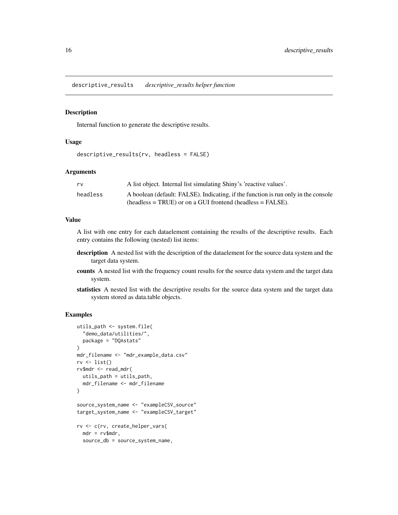<span id="page-15-0"></span>descriptive\_results *descriptive\_results helper function*

#### Description

Internal function to generate the descriptive results.

#### Usage

```
descriptive_results(rv, headless = FALSE)
```
# Arguments

| rv       | A list object. Internal list simulating Shiny's 'reactive values'.                 |
|----------|------------------------------------------------------------------------------------|
| headless | A boolean (default: FALSE). Indicating, if the function is run only in the console |
|          | $(headless = TRUE)$ or on a GUI frontend (headless = FALSE).                       |

#### Value

A list with one entry for each dataelement containing the results of the descriptive results. Each entry contains the following (nested) list items:

- description A nested list with the description of the dataelement for the source data system and the target data system.
- counts A nested list with the frequency count results for the source data system and the target data system.
- statistics A nested list with the descriptive results for the source data system and the target data system stored as data.table objects.

```
utils_path <- system.file(
  "demo_data/utilities/",
  package = "DQAstats"
)
mdr_filename <- "mdr_example_data.csv"
rv \leftarrow list()rv$mdr <- read_mdr(
  utils_path = utils_path,
  mdr_filename <- mdr_filename
)
source_system_name <- "exampleCSV_source"
target_system_name <- "exampleCSV_target"
rv <- c(rv, create_helper_vars(
  mdr = rv$mdr,
  source_db = source_system_name,
```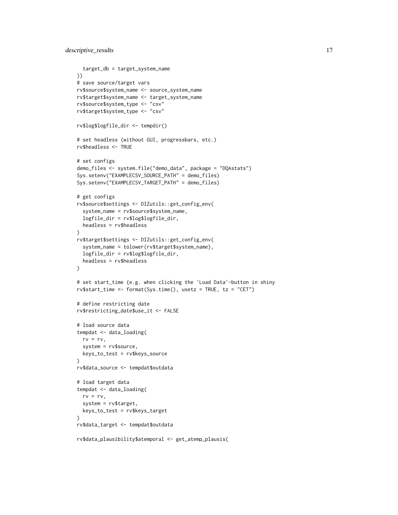```
target_db = target_system_name
))
# save source/target vars
rv$source$system_name <- source_system_name
rv$target$system_name <- target_system_name
rv$source$system_type <- "csv"
rv$target$system_type <- "csv"
rv$log$logfile_dir <- tempdir()
# set headless (without GUI, progressbars, etc.)
rv$headless <- TRUE
# set configs
demo_files <- system.file("demo_data", package = "DQAstats")
Sys.setenv("EXAMPLECSV_SOURCE_PATH" = demo_files)
Sys.setenv("EXAMPLECSV_TARGET_PATH" = demo_files)
# get configs
rv$source$settings <- DIZutils::get_config_env(
  system_name = rv$source$system_name,
  logfile_dir = rv$log$logfile_dir,
  headless = rv$headless
\mathcal{L}rv$target$settings <- DIZutils::get_config_env(
  system_name = tolower(rv$target$system_name),
  logfile_dir = rv$log$logfile_dir,
  headless = rv$headless
)
# set start_time (e.g. when clicking the 'Load Data'-button in shiny
rv$start_time <- format(Sys.time(), usetz = TRUE, tz = "CET")
# define restricting date
rv$restricting_date$use_it <- FALSE
# load source data
tempdat <- data_loading(
  rv = rv,system = rv$source,
  keys_to_test = rv$keys_source
)
rv$data_source <- tempdat$outdata
# load target data
tempdat <- data_loading(
  rv = rv,system = rv$target,
  keys_to_test = rv$keys_target
\lambdarv$data_target <- tempdat$outdata
rv$data_plausibility$atemporal <- get_atemp_plausis(
```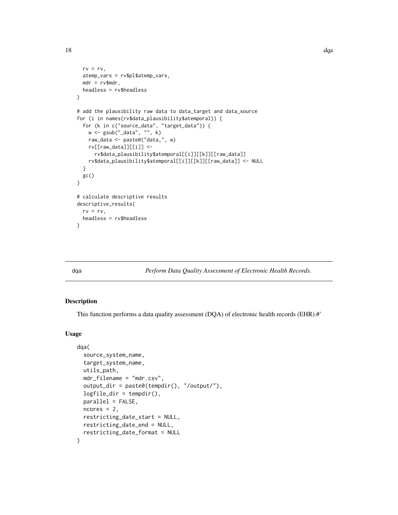```
rv = rv,atemp_vars = rv$pl$atemp_vars,
 mdr = rv$mdr,
 headless = rv$headless
)
# add the plausibility raw data to data_target and data_source
for (i in names(rv$data_plausibility$atemporal)) {
 for (k in c("source_data", "target_data")) {
   w <- gsub("_data", "", k)
   raw_data <- paste0("data_", w)
   rv[[raw_data]][[i]] <-
      rv$data_plausibility$atemporal[[i]][[k]][[raw_data]]
    rv$data_plausibility$atemporal[[i]][[k]][[raw_data]] <- NULL
 }
 gc()
}
# calculate descriptive results
descriptive_results(
 rv = rv,headless = rv$headless
\mathcal{L}
```
dqa *Perform Data Quality Assessment of Electronic Health Records.*

#### Description

This function performs a data quality assessment (DQA) of electronic health records (EHR).#'

#### Usage

```
dqa(
  source_system_name,
  target_system_name,
  utils_path,
  mdr_filename = "mdr.csv",
  output_dir = paste0(tempdir(), "/output/"),
  logfile_dir = tempdir(),
  parallel = FALSE,
  ncores = 2,
  restricting_date_start = NULL,
  restricting_date_end = NULL,
  restricting_date_format = NULL
)
```
<span id="page-17-0"></span>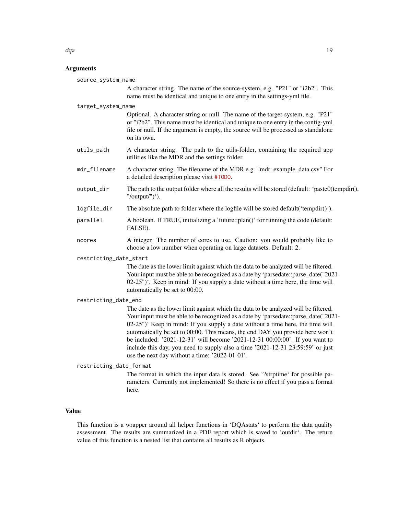#### Arguments

| source_system_name      |                                                                                                                                                                                                                                                                                                                                                                                                                                                                                                                                                                  |  |  |
|-------------------------|------------------------------------------------------------------------------------------------------------------------------------------------------------------------------------------------------------------------------------------------------------------------------------------------------------------------------------------------------------------------------------------------------------------------------------------------------------------------------------------------------------------------------------------------------------------|--|--|
|                         | A character string. The name of the source-system, e.g. "P21" or "i2b2". This<br>name must be identical and unique to one entry in the settings-yml file.                                                                                                                                                                                                                                                                                                                                                                                                        |  |  |
| target_system_name      |                                                                                                                                                                                                                                                                                                                                                                                                                                                                                                                                                                  |  |  |
|                         | Optional. A character string or null. The name of the target-system, e.g. "P21"<br>or "i2b2". This name must be identical and unique to one entry in the config-yml<br>file or null. If the argument is empty, the source will be processed as standalone<br>on its own.                                                                                                                                                                                                                                                                                         |  |  |
| utils_path              | A character string. The path to the utils-folder, containing the required app<br>utilities like the MDR and the settings folder.                                                                                                                                                                                                                                                                                                                                                                                                                                 |  |  |
| mdr_filename            | A character string. The filename of the MDR e.g. "mdr_example_data.csv" For<br>a detailed description please visit #T0D0.                                                                                                                                                                                                                                                                                                                                                                                                                                        |  |  |
| output_dir              | The path to the output folder where all the results will be stored (default: 'paste0(tempdir(),<br>"/output/")').                                                                                                                                                                                                                                                                                                                                                                                                                                                |  |  |
| logfile_dir             | The absolute path to folder where the logfile will be stored default('tempdir()').                                                                                                                                                                                                                                                                                                                                                                                                                                                                               |  |  |
| parallel                | A boolean. If TRUE, initializing a 'future::plan()' for running the code (default:<br>FALSE).                                                                                                                                                                                                                                                                                                                                                                                                                                                                    |  |  |
| ncores                  | A integer. The number of cores to use. Caution: you would probably like to<br>choose a low number when operating on large datasets. Default: 2.                                                                                                                                                                                                                                                                                                                                                                                                                  |  |  |
| restricting_date_start  |                                                                                                                                                                                                                                                                                                                                                                                                                                                                                                                                                                  |  |  |
|                         | The date as the lower limit against which the data to be analyzed will be filtered.<br>Your input must be able to be recognized as a date by 'parsedate::parse_date("2021-<br>$(02-25")'$ . Keep in mind: If you supply a date without a time here, the time will<br>automatically be set to 00:00.                                                                                                                                                                                                                                                              |  |  |
| restricting_date_end    |                                                                                                                                                                                                                                                                                                                                                                                                                                                                                                                                                                  |  |  |
|                         | The date as the lower limit against which the data to be analyzed will be filtered.<br>Your input must be able to be recognized as a date by 'parsedate::parse_date("2021-<br>02-25")' Keep in mind: If you supply a date without a time here, the time will<br>automatically be set to 00:00. This means, the end DAY you provide here won't<br>be included: '2021-12-31' will become '2021-12-31 00:00:00'. If you want to<br>include this day, you need to supply also a time '2021-12-31 23:59:59' or just<br>use the next day without a time: '2022-01-01'. |  |  |
| restricting_date_format |                                                                                                                                                                                                                                                                                                                                                                                                                                                                                                                                                                  |  |  |
|                         | The format in which the input data is stored. See "?strptime' for possible pa-<br>rameters. Currently not implemented! So there is no effect if you pass a format<br>here.                                                                                                                                                                                                                                                                                                                                                                                       |  |  |
|                         |                                                                                                                                                                                                                                                                                                                                                                                                                                                                                                                                                                  |  |  |

# Value

This function is a wrapper around all helper functions in 'DQAstats' to perform the data quality assessment. The results are summarized in a PDF report which is saved to 'outdir'. The return value of this function is a nested list that contains all results as R objects.

dqa $\Box$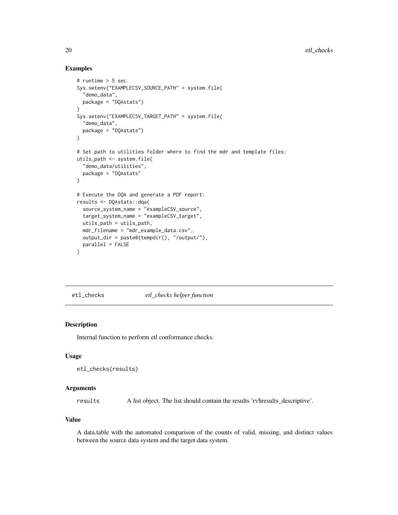#### Examples

```
# runtime > 5 sec.
Sys.setenv("EXAMPLECSV_SOURCE_PATH" = system.file(
  "demo_data",
  package = "DQAstats")
)
Sys.setenv("EXAMPLECSV_TARGET_PATH" = system.file(
  "demo_data",
  package = "DQAstats")
\lambda# Set path to utilities folder where to find the mdr and template files:
utils_path <- system.file(
  "demo_data/utilities",
  package = "DQAstats"
\lambda# Execute the DQA and generate a PDF report:
results <- DQAstats::dqa(
  source_system_name = "exampleCSV_source",
  target_system_name = "exampleCSV_target",
  utils_path = utils_path,
  mdr_filename = "mdr_example_data.csv",
  output_dir = paste0(tempdir(), "/output/"),
  parallel = FALSE
)
```
etl\_checks *etl\_checks helper function*

# Description

Internal function to perform etl conformance checks.

#### Usage

```
etl_checks(results)
```
## Arguments

results A list object. The list should contain the results 'rv\$results\_descriptive'.

### Value

A data.table with the automated comparison of the counts of valid, missing, and distinct values between the source data system and the target data system.

<span id="page-19-0"></span>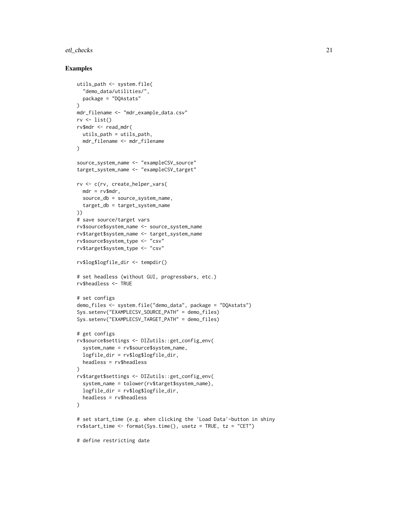#### etl\_checks 21

```
utils_path <- system.file(
  "demo_data/utilities/",
  package = "DQAstats"
\lambdamdr_filename <- "mdr_example_data.csv"
rv \leftarrow list()rv$mdr <- read_mdr(
  utils_path = utils_path,
 mdr_filename <- mdr_filename
)
source_system_name <- "exampleCSV_source"
target_system_name <- "exampleCSV_target"
rv <- c(rv, create_helper_vars(
  mdr = rv$mdr,source_db = source_system_name,
  target_db = target_system_name
))
# save source/target vars
rv$source$system_name <- source_system_name
rv$target$system_name <- target_system_name
rv$source$system_type <- "csv"
rv$target$system_type <- "csv"
rv$log$logfile_dir <- tempdir()
# set headless (without GUI, progressbars, etc.)
rv$headless <- TRUE
# set configs
demo_files <- system.file("demo_data", package = "DQAstats")
Sys.setenv("EXAMPLECSV_SOURCE_PATH" = demo_files)
Sys.setenv("EXAMPLECSV_TARGET_PATH" = demo_files)
# get configs
rv$source$settings <- DIZutils::get_config_env(
  system_name = rv$source$system_name,
  logfile_dir = rv$log$logfile_dir,
  headless = rv$headless
\lambdarv$target$settings <- DIZutils::get_config_env(
  system_name = tolower(rv$target$system_name),
  logfile_dir = rv$log$logfile_dir,
  headless = rv$headless
)
# set start_time (e.g. when clicking the 'Load Data'-button in shiny
rv$start_time <- format(Sys.time(), usetz = TRUE, tz = "CET")
# define restricting date
```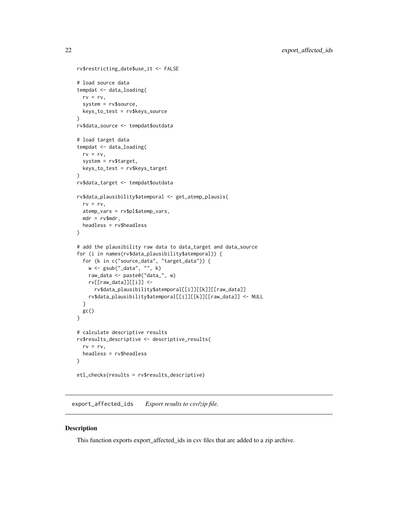```
rv$restricting_date$use_it <- FALSE
# load source data
tempdat <- data_loading(
 rv = rv,system = rv$source,
  keys_to_test = rv$keys_source
\mathcal{L}rv$data_source <- tempdat$outdata
# load target data
tempdat <- data_loading(
  rv = rv,system = rv$target,
  keys_to_test = rv$keys_target
)
rv$data_target <- tempdat$outdata
rv$data_plausibility$atemporal <- get_atemp_plausis(
  rv = rv,atemp_vars = rv$pl$atemp_vars,
 mdr = rv$mdr,
  headless = rv$headless
)
# add the plausibility raw data to data_target and data_source
for (i in names(rv$data_plausibility$atemporal)) {
  for (k in c("source_data", "target_data")) {
   w <- gsub("_data", "", k)
   raw_data <- paste0("data_", w)
   rv[[raw_data]][[i]] <-
      rv$data_plausibility$atemporal[[i]][[k]][[raw_data]]
   rv$data_plausibility$atemporal[[i]][[k]][[raw_data]] <- NULL
  }
 gc()
}
# calculate descriptive results
rv$results_descriptive <- descriptive_results(
  rv = rv,headless = rv$headless
)
etl_checks(results = rv$results_descriptive)
```
export\_affected\_ids *Export results to csv/zip file.*

## Description

This function exports export\_affected\_ids in csv files that are added to a zip archive.

<span id="page-21-0"></span>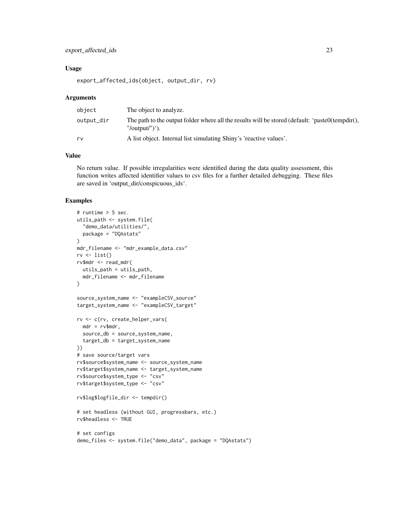# export\_affected\_ids 23

#### Usage

export\_affected\_ids(object, output\_dir, rv)

#### Arguments

| object     | The object to analyze.                                                                                            |
|------------|-------------------------------------------------------------------------------------------------------------------|
| output_dir | The path to the output folder where all the results will be stored (default: 'paste0(tempdir(),<br>"/output/")'). |
| rv         | A list object. Internal list simulating Shiny's 'reactive values'.                                                |

#### Value

No return value. If possible irregularities were identified during the data quality assessment, this function writes affected identifier values to csv files for a further detailed debugging. These files are saved in 'output\_dir/conspicuous\_ids'.

```
# runtime > 5 sec.
utils_path <- system.file(
  "demo_data/utilities/",
  package = "DQAstats"
)
mdr_filename <- "mdr_example_data.csv"
rv \leftarrow list()rv$mdr <- read_mdr(
 utils_path = utils_path,
  mdr_filename <- mdr_filename
\mathcal{L}source_system_name <- "exampleCSV_source"
target_system_name <- "exampleCSV_target"
rv <- c(rv, create_helper_vars(
  mdr = rv$mdr,
  source_db = source_system_name,
  target_db = target_system_name
))
# save source/target vars
rv$source$system_name <- source_system_name
rv$target$system_name <- target_system_name
rv$source$system_type <- "csv"
rv$target$system_type <- "csv"
rv$log$logfile_dir <- tempdir()
# set headless (without GUI, progressbars, etc.)
rv$headless <- TRUE
# set configs
demo_files <- system.file("demo_data", package = "DQAstats")
```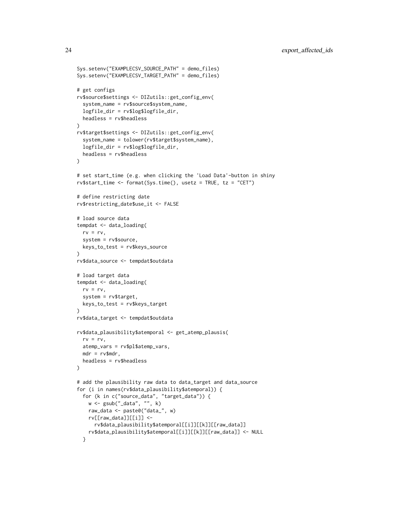```
Sys.setenv("EXAMPLECSV_SOURCE_PATH" = demo_files)
Sys.setenv("EXAMPLECSV_TARGET_PATH" = demo_files)
# get configs
rv$source$settings <- DIZutils::get_config_env(
  system_name = rv$source$system_name,
  logfile_dir = rv$log$logfile_dir,
  headless = rv$headless
)
rv$target$settings <- DIZutils::get_config_env(
  system_name = tolower(rv$target$system_name),
  logfile_dir = rv$log$logfile_dir,
  headless = rv$headless
)
# set start_time (e.g. when clicking the 'Load Data'-button in shiny
rv$start_time <- format(Sys.time(), usetz = TRUE, tz = "CET")
# define restricting date
rv$restricting_date$use_it <- FALSE
# load source data
tempdat <- data_loading(
  rv = rv,system = rv$source,
  keys_to_test = rv$keys_source
)
rv$data_source <- tempdat$outdata
# load target data
tempdat <- data_loading(
 rv = rv,system = rv$target,
  keys_to_test = rv$keys_target
\lambdarv$data_target <- tempdat$outdata
rv$data_plausibility$atemporal <- get_atemp_plausis(
  rv = rv,atemp_vars = rv$pl$atemp_vars,
  mdr = rv$mdr,headless = rv$headless
)
# add the plausibility raw data to data_target and data_source
for (i in names(rv$data_plausibility$atemporal)) {
  for (k in c("source_data", "target_data")) {
   w <- gsub("_data", "", k)
   raw_data <- paste0("data_", w)
   rv[[raw_data]][[i]] <-
      rv$data_plausibility$atemporal[[i]][[k]][[raw_data]]
    rv$data_plausibility$atemporal[[i]][[k]][[raw_data]] <- NULL
  }
```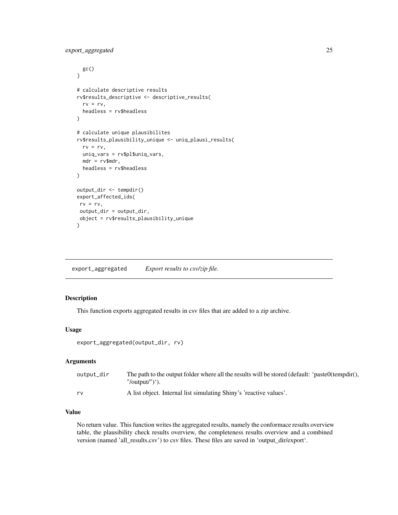```
gc()}
# calculate descriptive results
rv$results_descriptive <- descriptive_results(
 rv = rv,headless = rv$headless
\mathcal{L}# calculate unique plausibilites
rv$results_plausibility_unique <- uniq_plausi_results(
 rv = rv,uniq_vars = rv$pl$uniq_vars,
 mdr = rv$mdr,
 headless = rv$headless
)
output_dir <- tempdir()
export_affected_ids(
rv = rv,output_dir = output_dir,
object = rv$results_plausibility_unique
\mathcal{L}
```
export\_aggregated *Export results to csv/zip file.*

# Description

This function exports aggregated results in csv files that are added to a zip archive.

#### Usage

```
export_aggregated(output_dir, rv)
```
#### Arguments

| output_dir | The path to the output folder where all the results will be stored (default: 'paste0(tempdir(), |
|------------|-------------------------------------------------------------------------------------------------|
|            | "/output/")').                                                                                  |
| rv         | A list object. Internal list simulating Shiny's 'reactive values'.                              |

## Value

No return value. This function writes the aggregated results, namely the conformace results overview table, the plausibility check results overview, the completeness results overview and a combined version (named 'all\_results.csv') to csv files. These files are saved in 'output\_dir/export'.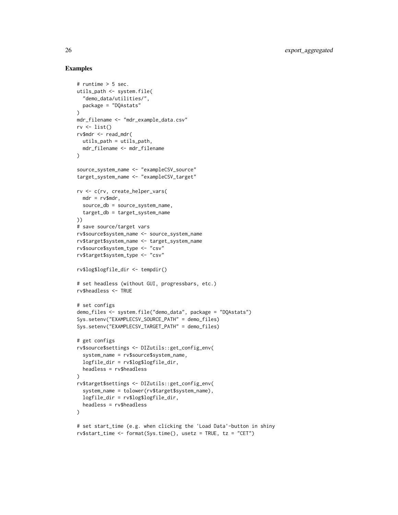```
# runtime > 5 sec.
utils_path <- system.file(
  "demo_data/utilities/",
  package = "DQAstats"
\lambdamdr_filename <- "mdr_example_data.csv"
rv \leftarrow list()rv$mdr <- read_mdr(
 utils_path = utils_path,
 mdr_filename <- mdr_filename
)
source_system_name <- "exampleCSV_source"
target_system_name <- "exampleCSV_target"
rv <- c(rv, create_helper_vars(
 mdr = rv$mdr,
  source_db = source_system_name,
  target_db = target_system_name
))
# save source/target vars
rv$source$system_name <- source_system_name
rv$target$system_name <- target_system_name
rv$source$system_type <- "csv"
rv$target$system_type <- "csv"
rv$log$logfile_dir <- tempdir()
# set headless (without GUI, progressbars, etc.)
rv$headless <- TRUE
# set configs
demo_files <- system.file("demo_data", package = "DQAstats")
Sys.setenv("EXAMPLECSV_SOURCE_PATH" = demo_files)
Sys.setenv("EXAMPLECSV_TARGET_PATH" = demo_files)
# get configs
rv$source$settings <- DIZutils::get_config_env(
  system_name = rv$source$system_name,
  logfile_dir = rv$log$logfile_dir,
  headless = rv$headless
\lambdarv$target$settings <- DIZutils::get_config_env(
  system_name = tolower(rv$target$system_name),
  logfile_dir = rv$log$logfile_dir,
  headless = rv$headless
)
# set start_time (e.g. when clicking the 'Load Data'-button in shiny
rv$start_time <- format(Sys.time(), usetz = TRUE, tz = "CET")
```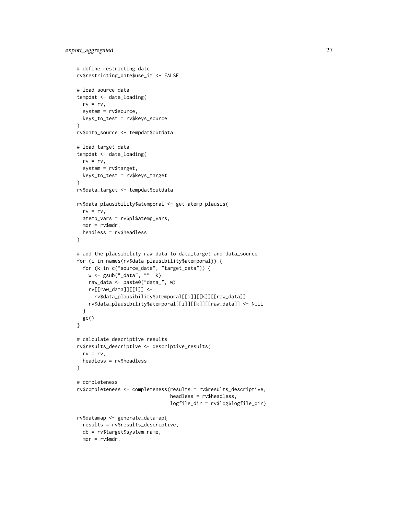```
# define restricting date
rv$restricting_date$use_it <- FALSE
# load source data
tempdat <- data_loading(
 rv = rv,system = rv$source,
  keys_to_test = rv$keys_source
\lambdarv$data_source <- tempdat$outdata
# load target data
tempdat <- data_loading(
  rv = rv,system = rv$target,
 keys_to_test = rv$keys_target
)
rv$data_target <- tempdat$outdata
rv$data_plausibility$atemporal <- get_atemp_plausis(
  rv = rv,atemp_vars = rv$pl$atemp_vars,
 mdr = rv$mdr,
  headless = rv$headless
\lambda# add the plausibility raw data to data_target and data_source
for (i in names(rv$data_plausibility$atemporal)) {
  for (k in c("source_data", "target_data")) {
   w <- gsub("_data", "", k)
   raw_data <- paste0("data_", w)
   rv[[raw_data]][[i]] <-
      rv$data_plausibility$atemporal[[i]][[k]][[raw_data]]
   rv$data_plausibility$atemporal[[i]][[k]][[raw_data]] <- NULL
  }
 gc()
}
# calculate descriptive results
rv$results_descriptive <- descriptive_results(
  rv = rv,headless = rv$headless
\lambda# completeness
rv$completeness <- completeness(results = rv$results_descriptive,
                                headless = rv$headless,
                                logfile_dir = rv$log$logfile_dir)
rv$datamap <- generate_datamap(
  results = rv$results_descriptive,
  db = rv$target$system_name,
  mdr = rv$mdr,
```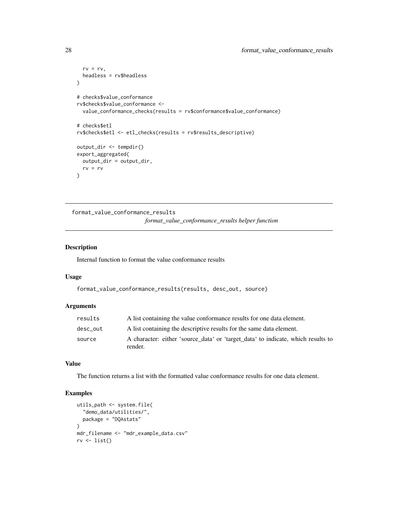```
rv = rv,headless = rv$headless
)
# checks$value_conformance
rv$checks$value_conformance <-
  value_conformance_checks(results = rv$conformance$value_conformance)
# checks$etl
rv$checks$etl <- etl_checks(results = rv$results_descriptive)
output_dir <- tempdir()
export_aggregated(
  output_dir = output_dir,
  rv = rv
)
```
format\_value\_conformance\_results *format\_value\_conformance\_results helper function*

# Description

Internal function to format the value conformance results

# Usage

format\_value\_conformance\_results(results, desc\_out, source)

# Arguments

| results  | A list containing the value conformance results for one data element.                       |  |  |
|----------|---------------------------------------------------------------------------------------------|--|--|
| desc out | A list containing the descriptive results for the same data element.                        |  |  |
| source   | A character: either 'source_data' or 'target_data' to indicate, which results to<br>render. |  |  |

#### Value

The function returns a list with the formatted value conformance results for one data element.

```
utils_path <- system.file(
  "demo_data/utilities/",
  package = "DQAstats"
)
mdr_filename <- "mdr_example_data.csv"
rv <- list()
```
<span id="page-27-0"></span>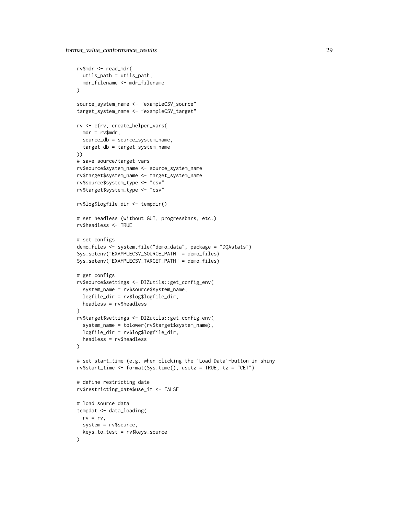```
rv$mdr <- read_mdr(
  utils_path = utils_path,
  mdr_filename <- mdr_filename
\lambdasource_system_name <- "exampleCSV_source"
target_system_name <- "exampleCSV_target"
rv <- c(rv, create_helper_vars(
 mdr = rv$mdr,
  source_db = source_system_name,
  target_db = target_system_name
))
# save source/target vars
rv$source$system_name <- source_system_name
rv$target$system_name <- target_system_name
rv$source$system_type <- "csv"
rv$target$system_type <- "csv"
rv$log$logfile_dir <- tempdir()
# set headless (without GUI, progressbars, etc.)
rv$headless <- TRUE
# set configs
demo_files <- system.file("demo_data", package = "DQAstats")
Sys.setenv("EXAMPLECSV_SOURCE_PATH" = demo_files)
Sys.setenv("EXAMPLECSV_TARGET_PATH" = demo_files)
# get configs
rv$source$settings <- DIZutils::get_config_env(
  system_name = rv$source$system_name,
  logfile_dir = rv$log$logfile_dir,
  headless = rv$headless
\lambdarv$target$settings <- DIZutils::get_config_env(
  system_name = tolower(rv$target$system_name),
  logfile_dir = rv$log$logfile_dir,
  headless = rv$headless
)
# set start_time (e.g. when clicking the 'Load Data'-button in shiny
rv$start_time <- format(Sys.time(), usetz = TRUE, tz = "CET")
# define restricting date
rv$restricting_date$use_it <- FALSE
# load source data
tempdat <- data_loading(
  rv = rv,system = rv$source,
  keys_to_test = rv$keys_source
\lambda
```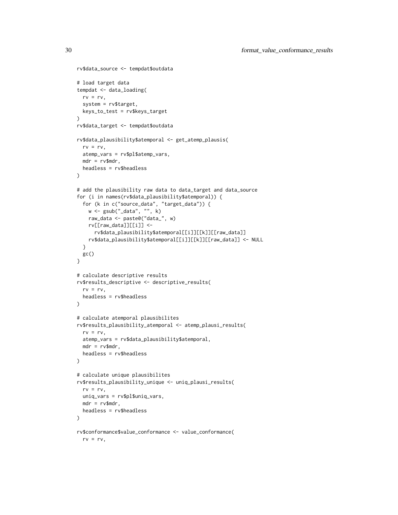```
rv$data_source <- tempdat$outdata
# load target data
tempdat <- data_loading(
 rv = rv,system = rv$target,
  keys_to_test = rv$keys_target
\lambdarv$data_target <- tempdat$outdata
rv$data_plausibility$atemporal <- get_atemp_plausis(
  rv = rv,atemp_vars = rv$pl$atemp_vars,
  mdr = rv$mdr,
 headless = rv$headless
)
# add the plausibility raw data to data_target and data_source
for (i in names(rv$data_plausibility$atemporal)) {
  for (k in c("source_data", "target_data")) {
   w <- gsub("_data", "", k)
   raw_data <- paste0("data_", w)
   rv[[raw_data]][[i]] <-
      rv$data_plausibility$atemporal[[i]][[k]][[raw_data]]
   rv$data_plausibility$atemporal[[i]][[k]][[raw_data]] <- NULL
  }
 gc()
}
# calculate descriptive results
rv$results_descriptive <- descriptive_results(
 rv = rv,headless = rv$headless
\lambda# calculate atemporal plausibilites
rv$results_plausibility_atemporal <- atemp_plausi_results(
  rv = rv,atemp_vars = rv$data_plausibility$atemporal,
  mdr = rv$mdr,
  headless = rv$headless
)
# calculate unique plausibilites
rv$results_plausibility_unique <- uniq_plausi_results(
  rv = rv,uniq_vars = rv$pl$uniq_vars,
 mdr = rv$mdr,
 headless = rv$headless
\lambdarv$conformance$value_conformance <- value_conformance(
  rv = rv,
```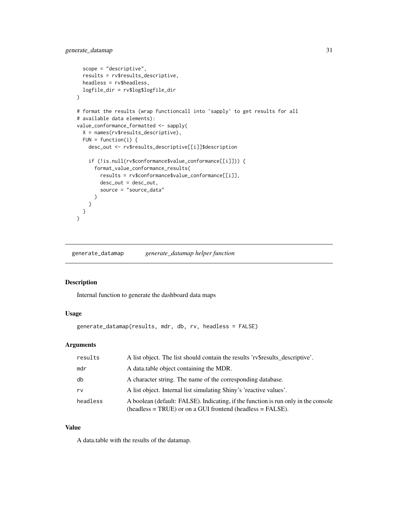```
scope = "descriptive",
  results = rv$results_descriptive,
  headless = rv$headless,
  logfile_dir = rv$log$logfile_dir
)
# format the results (wrap functioncall into `sapply` to get results for all
# available data elements):
value_conformance_formatted <- sapply(
  X = names(rv$results_descriptive),
  FUN = function(i) {
    desc_out <- rv$results_descriptive[[i]]$description
    if (!is.null(rv$conformance$value_conformance[[i]])) {
      format_value_conformance_results(
        results = rv$conformance$value_conformance[[i]],
        desc_out = desc_out,
        source = "source_data"
      )
   }
 }
\lambda
```
generate\_datamap *generate\_datamap helper function*

#### Description

Internal function to generate the dashboard data maps

# Usage

```
generate_datamap(results, mdr, db, rv, headless = FALSE)
```
#### Arguments

| results  | A list object. The list should contain the results 'rv\$results_descriptive'.                                                                      |  |
|----------|----------------------------------------------------------------------------------------------------------------------------------------------------|--|
| mdr      | A data table object containing the MDR.                                                                                                            |  |
| db       | A character string. The name of the corresponding database.                                                                                        |  |
| rv       | A list object. Internal list simulating Shiny's 'reactive values'.                                                                                 |  |
| headless | A boolean (default: FALSE). Indicating, if the function is run only in the console<br>$(headless = TRUE)$ or on a GUI frontend (headless = FALSE). |  |

#### Value

A data.table with the results of the datamap.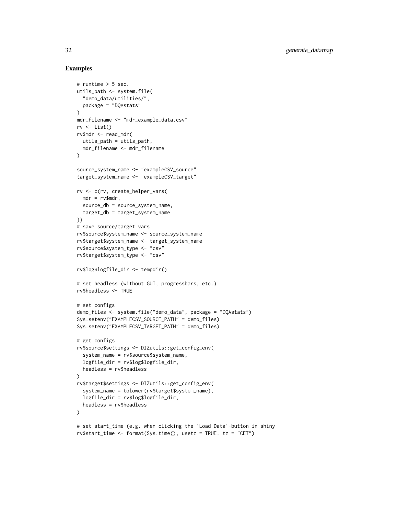```
# runtime > 5 sec.
utils_path <- system.file(
  "demo_data/utilities/",
  package = "DQAstats"
\lambdamdr_filename <- "mdr_example_data.csv"
rv \leftarrow list()rv$mdr <- read_mdr(
 utils_path = utils_path,
 mdr_filename <- mdr_filename
)
source_system_name <- "exampleCSV_source"
target_system_name <- "exampleCSV_target"
rv <- c(rv, create_helper_vars(
 mdr = rv$mdr,
  source_db = source_system_name,
  target_db = target_system_name
))
# save source/target vars
rv$source$system_name <- source_system_name
rv$target$system_name <- target_system_name
rv$source$system_type <- "csv"
rv$target$system_type <- "csv"
rv$log$logfile_dir <- tempdir()
# set headless (without GUI, progressbars, etc.)
rv$headless <- TRUE
# set configs
demo_files <- system.file("demo_data", package = "DQAstats")
Sys.setenv("EXAMPLECSV_SOURCE_PATH" = demo_files)
Sys.setenv("EXAMPLECSV_TARGET_PATH" = demo_files)
# get configs
rv$source$settings <- DIZutils::get_config_env(
  system_name = rv$source$system_name,
  logfile_dir = rv$log$logfile_dir,
  headless = rv$headless
\lambdarv$target$settings <- DIZutils::get_config_env(
  system_name = tolower(rv$target$system_name),
  logfile_dir = rv$log$logfile_dir,
  headless = rv$headless
)
# set start_time (e.g. when clicking the 'Load Data'-button in shiny
rv$start_time <- format(Sys.time(), usetz = TRUE, tz = "CET")
```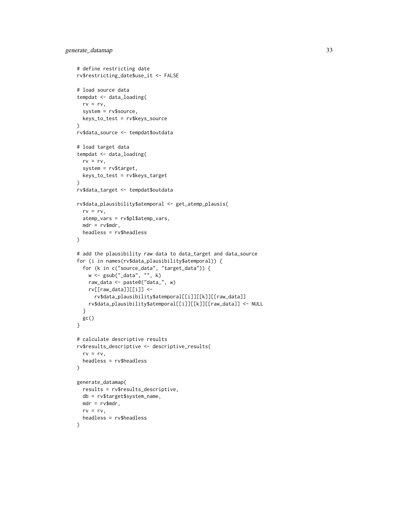```
# define restricting date
rv$restricting_date$use_it <- FALSE
# load source data
tempdat <- data_loading(
 rv = rv,system = rv$source,
 keys_to_test = rv$keys_source
\lambdarv$data_source <- tempdat$outdata
# load target data
tempdat <- data_loading(
  rv = rv,system = rv$target,
 keys_to_test = rv$keys_target
)
rv$data_target <- tempdat$outdata
rv$data_plausibility$atemporal <- get_atemp_plausis(
  rv = rv,atemp_vars = rv$pl$atemp_vars,
 mdr = rv$mdr,
  headless = rv$headless
\lambda# add the plausibility raw data to data_target and data_source
for (i in names(rv$data_plausibility$atemporal)) {
  for (k in c("source_data", "target_data")) {
   w <- gsub("_data", "", k)
   raw_data <- paste0("data_", w)
   rv[[raw_data]][[i]] <-
      rv$data_plausibility$atemporal[[i]][[k]][[raw_data]]
   rv$data_plausibility$atemporal[[i]][[k]][[raw_data]] <- NULL
  }
 gc()
}
# calculate descriptive results
rv$results_descriptive <- descriptive_results(
  rv = rv,headless = rv$headless
\lambdagenerate_datamap(
 results = rv$results_descriptive,
 db = rv$target$system_name,
 mdr = rv$mdr,
 rv = rv,headless = rv$headless
\mathcal{L}
```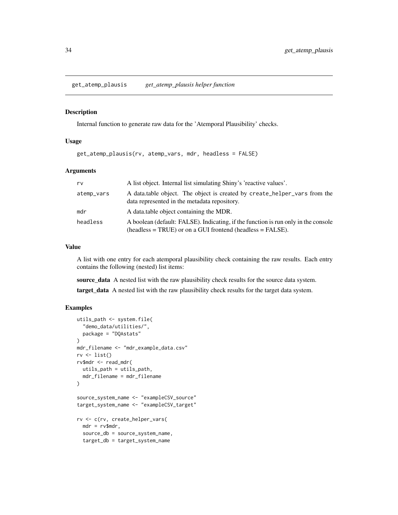<span id="page-33-0"></span>get\_atemp\_plausis *get\_atemp\_plausis helper function*

#### Description

Internal function to generate raw data for the 'Atemporal Plausibility' checks.

#### Usage

get\_atemp\_plausis(rv, atemp\_vars, mdr, headless = FALSE)

# Arguments

| rv         | A list object. Internal list simulating Shiny's 'reactive values'.                                                                                 |  |
|------------|----------------------------------------------------------------------------------------------------------------------------------------------------|--|
| atemp_vars | A data table object. The object is created by create_helper_vars from the<br>data represented in the metadata repository.                          |  |
| mdr        | A data table object containing the MDR.                                                                                                            |  |
| headless   | A boolean (default: FALSE). Indicating, if the function is run only in the console<br>$(headless = TRUE)$ or on a GUI frontend (headless = FALSE). |  |

#### Value

A list with one entry for each atemporal plausibility check containing the raw results. Each entry contains the following (nested) list items:

source\_data A nested list with the raw plausibility check results for the source data system.

target\_data A nested list with the raw plausibility check results for the target data system.

```
utils_path <- system.file(
  "demo_data/utilities/",
  package = "DQAstats"
)
mdr_filename <- "mdr_example_data.csv"
rv \leftarrow list()rv$mdr <- read_mdr(
  utils_path = utils_path,
  mdr_filename = mdr_filename
\mathcal{L}source_system_name <- "exampleCSV_source"
target_system_name <- "exampleCSV_target"
rv <- c(rv, create_helper_vars(
  mdr = rv$mdr,
  source_db = source_system_name,
  target_db = target_system_name
```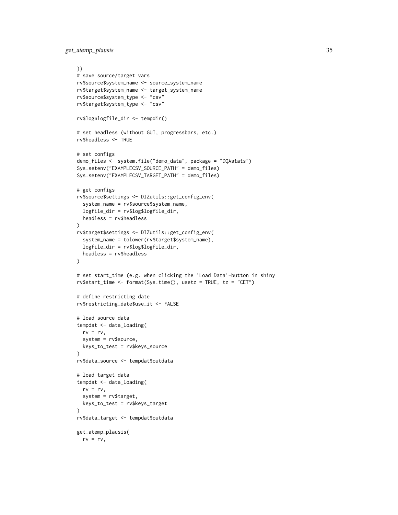get\_atemp\_plausis 35

```
))
# save source/target vars
rv$source$system_name <- source_system_name
rv$target$system_name <- target_system_name
rv$source$system_type <- "csv"
rv$target$system_type <- "csv"
rv$log$logfile_dir <- tempdir()
# set headless (without GUI, progressbars, etc.)
rv$headless <- TRUE
# set configs
demo_files <- system.file("demo_data", package = "DQAstats")
Sys.setenv("EXAMPLECSV_SOURCE_PATH" = demo_files)
Sys.setenv("EXAMPLECSV_TARGET_PATH" = demo_files)
# get configs
rv$source$settings <- DIZutils::get_config_env(
  system_name = rv$source$system_name,
  logfile_dir = rv$log$logfile_dir,
  headless = rv$headless
\lambdarv$target$settings <- DIZutils::get_config_env(
  system_name = tolower(rv$target$system_name),
  logfile_dir = rv$log$logfile_dir,
  headless = rv$headless
)
# set start_time (e.g. when clicking the 'Load Data'-button in shiny
rv$start_time <- format(Sys.time(), usetz = TRUE, tz = "CET")
# define restricting date
rv$restricting_date$use_it <- FALSE
# load source data
tempdat <- data_loading(
  rv = rv,system = rv$source,
  keys_to_test = rv$keys_source
)
rv$data_source <- tempdat$outdata
# load target data
tempdat <- data_loading(
  rv = rv,system = rv$target,
  keys_to_test = rv$keys_target
\lambdarv$data_target <- tempdat$outdata
get_atemp_plausis(
  rv = rv,
```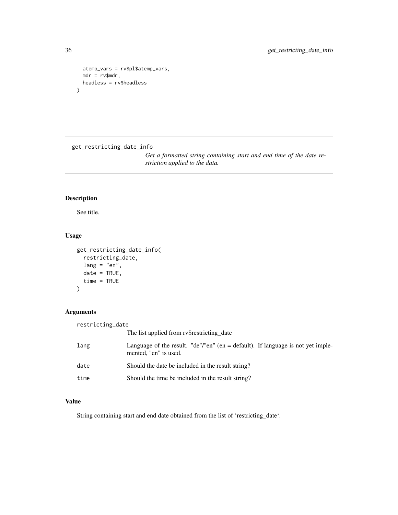```
atemp_vars = rv$pl$atemp_vars,
  mdr = rv$mdr,
  headless = rv$headless
)
```
get\_restricting\_date\_info

*Get a formatted string containing start and end time of the date restriction applied to the data.*

# Description

See title.

# Usage

```
get_restricting_date_info(
 restricting_date,
 lang = "en",date = TRUE,time = TRUE
)
```
# Arguments

| restricting_date |                                                                                                            |
|------------------|------------------------------------------------------------------------------------------------------------|
|                  | The list applied from ry\$restricting_date                                                                 |
| lang             | Language of the result. "de"/"en" (en $=$ default). If language is not yet imple-<br>mented, "en" is used. |
| date             | Should the date be included in the result string?                                                          |
| time             | Should the time be included in the result string?                                                          |

# Value

String containing start and end date obtained from the list of 'restricting\_date'.

<span id="page-35-0"></span>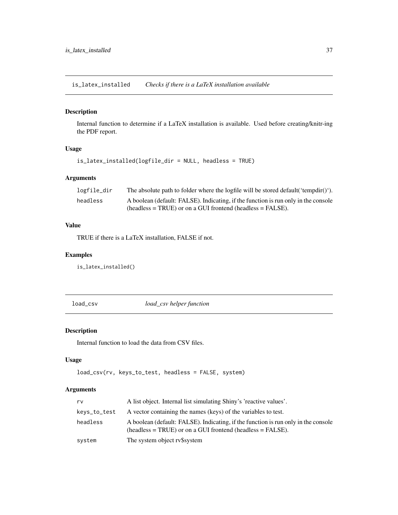<span id="page-36-0"></span>is\_latex\_installed *Checks if there is a LaTeX installation available*

## Description

Internal function to determine if a LaTeX installation is available. Used before creating/knitr-ing the PDF report.

# Usage

```
is_latex_installed(logfile_dir = NULL, headless = TRUE)
```
# Arguments

| logfile_dir | The absolute path to folder where the logfile will be stored default ('tempdir()'). |  |  |
|-------------|-------------------------------------------------------------------------------------|--|--|
| headless    | A boolean (default: FALSE). Indicating, if the function is run only in the console  |  |  |
|             | $(headless = TRUE)$ or on a GUI frontend (headless = FALSE).                        |  |  |

# Value

TRUE if there is a LaTeX installation, FALSE if not.

# Examples

is\_latex\_installed()

load\_csv *load\_csv helper function*

# Description

Internal function to load the data from CSV files.

# Usage

```
load_csv(rv, keys_to_test, headless = FALSE, system)
```
# Arguments

| rv           | A list object. Internal list simulating Shiny's 'reactive values'.                                                                                 |  |
|--------------|----------------------------------------------------------------------------------------------------------------------------------------------------|--|
| keys_to_test | A vector containing the names (keys) of the variables to test.                                                                                     |  |
| headless     | A boolean (default: FALSE). Indicating, if the function is run only in the console<br>$(headless = TRUE)$ or on a GUI frontend (headless = FALSE). |  |
| system       | The system object rv\$system                                                                                                                       |  |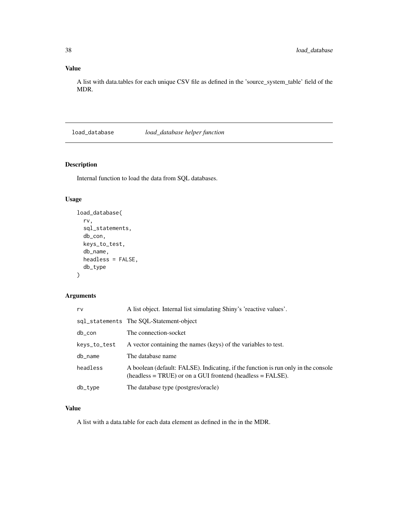# <span id="page-37-0"></span>Value

A list with data.tables for each unique CSV file as defined in the 'source\_system\_table' field of the MDR.

load\_database *load\_database helper function*

# Description

Internal function to load the data from SQL databases.

# Usage

```
load_database(
  rv,
  sql_statements,
  db_con,
 keys_to_test,
 db_name,
 headless = FALSE,
  db_type
)
```
# Arguments

| rv           | A list object. Internal list simulating Shiny's 'reactive values'.                                                                                 |  |  |
|--------------|----------------------------------------------------------------------------------------------------------------------------------------------------|--|--|
|              | sql_statements The SOL-Statement-object                                                                                                            |  |  |
| db_con       | The connection-socket                                                                                                                              |  |  |
| keys_to_test | A vector containing the names (keys) of the variables to test.                                                                                     |  |  |
| db_name      | The database name                                                                                                                                  |  |  |
| headless     | A boolean (default: FALSE). Indicating, if the function is run only in the console<br>$(headless = TRUE)$ or on a GUI frontend (headless = FALSE). |  |  |
| db_type      | The database type (postgres/oracle)                                                                                                                |  |  |

# Value

A list with a data.table for each data element as defined in the in the MDR.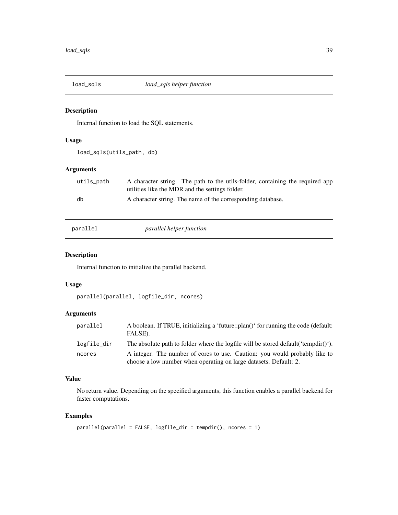<span id="page-38-0"></span>

# Description

Internal function to load the SQL statements.

# Usage

load\_sqls(utils\_path, db)

# Arguments

| utils_path | A character string. The path to the utils-folder, containing the required app |
|------------|-------------------------------------------------------------------------------|
|            | utilities like the MDR and the settings folder.                               |
| db         | A character string. The name of the corresponding database.                   |
|            |                                                                               |

| ìГ<br>∍<br>iar |  |
|----------------|--|
| -              |  |
|                |  |

# parallel *parallel helper function*

# Description

Internal function to initialize the parallel backend.

#### Usage

```
parallel(parallel, logfile_dir, ncores)
```
# Arguments

| parallel    | A boolean. If TRUE, initializing a 'future::plan()' for running the code (default:<br>FALSE).                                                   |
|-------------|-------------------------------------------------------------------------------------------------------------------------------------------------|
| logfile_dir | The absolute path to folder where the logfile will be stored default ('tempdir()').                                                             |
| ncores      | A integer. The number of cores to use. Caution: you would probably like to<br>choose a low number when operating on large datasets. Default: 2. |

# Value

No return value. Depending on the specified arguments, this function enables a parallel backend for faster computations.

# Examples

parallel(parallel = FALSE, logfile\_dir = tempdir(), ncores = 1)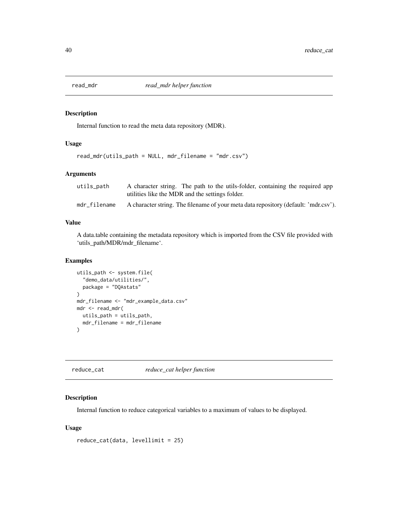<span id="page-39-0"></span>

#### Description

Internal function to read the meta data repository (MDR).

# Usage

read\_mdr(utils\_path = NULL, mdr\_filename = "mdr.csv")

# Arguments

| utils_path   | A character string. The path to the utils-folder, containing the required app       |
|--------------|-------------------------------------------------------------------------------------|
|              | utilities like the MDR and the settings folder.                                     |
| mdr filename | A character string. The filename of your meta data repository (default: 'mdr.csv'). |

# Value

A data.table containing the metadata repository which is imported from the CSV file provided with 'utils\_path/MDR/mdr\_filename'.

# Examples

```
utils_path <- system.file(
  "demo_data/utilities/",
  package = "DQAstats"
\lambdamdr_filename <- "mdr_example_data.csv"
mdr <- read_mdr(
  utils_path = utils_path,
  mdr_filename = mdr_filename
\mathcal{L}
```
reduce\_cat *reduce\_cat helper function*

# Description

Internal function to reduce categorical variables to a maximum of values to be displayed.

# Usage

```
reduce_cat(data, levellimit = 25)
```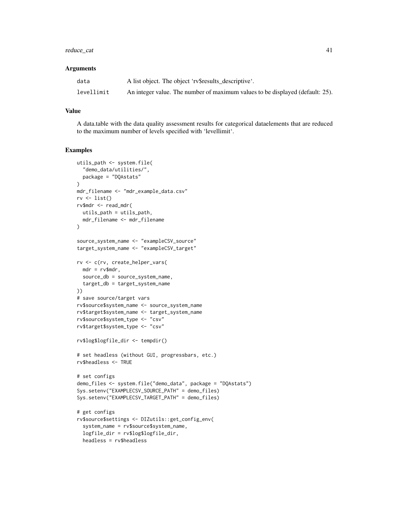# reduce\_cat 41

#### **Arguments**

| data       | A list object. The object 'rv\$results_descriptive'.                          |
|------------|-------------------------------------------------------------------------------|
| levellimit | An integer value. The number of maximum values to be displayed (default: 25). |

#### Value

A data.table with the data quality assessment results for categorical dataelements that are reduced to the maximum number of levels specified with 'levellimit'.

```
utils_path <- system.file(
  "demo_data/utilities/",
  package = "DQAstats"
\lambdamdr_filename <- "mdr_example_data.csv"
rv <- list()
rv$mdr <- read_mdr(
  utils_path = utils_path,
  mdr_filename <- mdr_filename
)
source_system_name <- "exampleCSV_source"
target_system_name <- "exampleCSV_target"
rv <- c(rv, create_helper_vars(
  mdr = rv$mdr,
  source_db = source_system_name,
  target_db = target_system_name
))
# save source/target vars
rv$source$system_name <- source_system_name
rv$target$system_name <- target_system_name
rv$source$system_type <- "csv"
rv$target$system_type <- "csv"
rv$log$logfile_dir <- tempdir()
# set headless (without GUI, progressbars, etc.)
rv$headless <- TRUE
# set configs
demo_files <- system.file("demo_data", package = "DQAstats")
Sys.setenv("EXAMPLECSV_SOURCE_PATH" = demo_files)
Sys.setenv("EXAMPLECSV_TARGET_PATH" = demo_files)
# get configs
rv$source$settings <- DIZutils::get_config_env(
  system_name = rv$source$system_name,
  logfile_dir = rv$log$logfile_dir,
  headless = rv$headless
```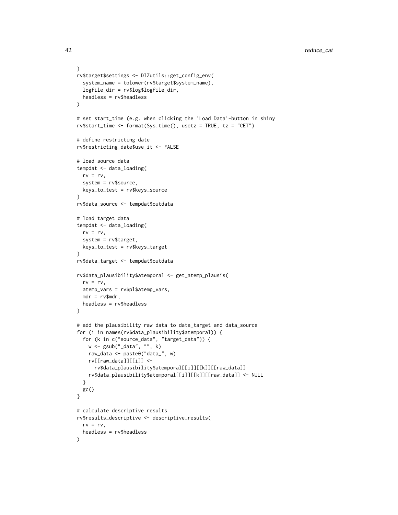```
\lambdarv$target$settings <- DIZutils::get_config_env(
  system_name = tolower(rv$target$system_name),
  logfile_dir = rv$log$logfile_dir,
  headless = rv$headless
)
# set start_time (e.g. when clicking the 'Load Data'-button in shiny
rv$start_time <- format(Sys.time(), usetz = TRUE, tz = "CET")
# define restricting date
rv$restricting_date$use_it <- FALSE
# load source data
tempdat <- data_loading(
  rv = rv,system = rv$source,
  keys_to_test = rv$keys_source
)
rv$data_source <- tempdat$outdata
# load target data
tempdat <- data_loading(
  rv = rv,system = rv$target,
  keys_to_test = rv$keys_target
\mathcal{L}rv$data_target <- tempdat$outdata
rv$data_plausibility$atemporal <- get_atemp_plausis(
  rv = rv,atemp_vars = rv$pl$atemp_vars,
  mdr = rv$mdr,headless = rv$headless
\mathcal{L}# add the plausibility raw data to data_target and data_source
for (i in names(rv$data_plausibility$atemporal)) {
  for (k in c("source_data", "target_data")) {
    w <- gsub("_data", "", k)
    raw_data <- paste0("data_", w)
    rv[[raw_data]][[i]] <-
      rv$data_plausibility$atemporal[[i]][[k]][[raw_data]]
    rv$data_plausibility$atemporal[[i]][[k]][[raw_data]] <- NULL
  }
 gc()
}
# calculate descriptive results
rv$results_descriptive <- descriptive_results(
  rv = rv,headless = rv$headless
\mathcal{L}
```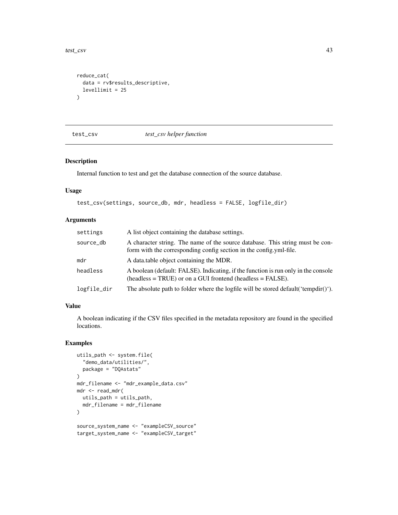<span id="page-42-0"></span>test\_csv 43

```
reduce_cat(
  data = rv$results_descriptive,
  levellimit = 25
\mathcal{L}
```
test\_csv *test\_csv helper function*

# Description

Internal function to test and get the database connection of the source database.

### Usage

```
test_csv(settings, source_db, mdr, headless = FALSE, logfile_dir)
```
#### Arguments

| settings    | A list object containing the database settings.                                                                                                     |
|-------------|-----------------------------------------------------------------------------------------------------------------------------------------------------|
| source_db   | A character string. The name of the source database. This string must be con-<br>form with the corresponding config section in the config.yml-file. |
| mdr         | A data table object containing the MDR.                                                                                                             |
| headless    | A boolean (default: FALSE). Indicating, if the function is run only in the console<br>$(headless = TRUE)$ or on a GUI frontend (headless = FALSE).  |
| logfile_dir | The absolute path to folder where the logfile will be stored default ('tempdir()').                                                                 |

# Value

A boolean indicating if the CSV files specified in the metadata repository are found in the specified locations.

```
utils_path <- system.file(
  "demo_data/utilities/",
  package = "DQAstats"
\lambdamdr_filename <- "mdr_example_data.csv"
mdr <- read_mdr(
 utils_path = utils_path,
  mdr_filename = mdr_filename
)
source_system_name <- "exampleCSV_source"
target_system_name <- "exampleCSV_target"
```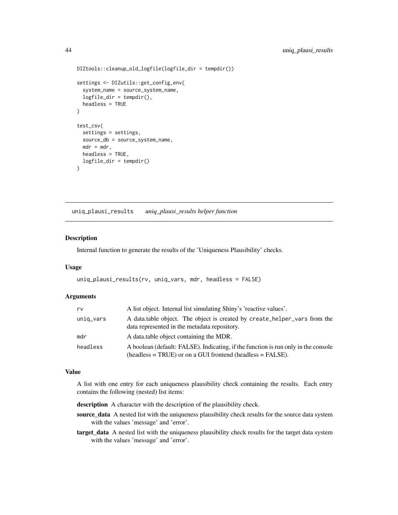```
DIZtools::cleanup_old_logfile(logfile_dir = tempdir())
settings <- DIZutils::get_config_env(
 system_name = source_system_name,
 logfile_dir = tempdir(),
 headless = TRUE
)
test_csv(
 settings = settings,
 source_db = source_system_name,
 mdr = mdr,
 headless = TRUE,
 logfile\_dir = tempdir()\mathcal{E}
```
uniq\_plausi\_results *uniq\_plausi\_results helper function*

# Description

Internal function to generate the results of the 'Uniqueness Plausibility' checks.

#### Usage

```
uniq_plausi_results(rv, uniq_vars, mdr, headless = FALSE)
```
# Arguments

| rv        | A list object. Internal list simulating Shiny's 'reactive values'.                                                                              |
|-----------|-------------------------------------------------------------------------------------------------------------------------------------------------|
| uniq_vars | A data table object. The object is created by create helper vars from the<br>data represented in the metadata repository.                       |
| mdr       | A data table object containing the MDR.                                                                                                         |
| headless  | A boolean (default: FALSE). Indicating, if the function is run only in the console<br>$(heads = TRUE)$ or on a GUI frontend $(heads = FALSE)$ . |

### Value

A list with one entry for each uniqueness plausibility check containing the results. Each entry contains the following (nested) list items:

description A character with the description of the plausibility check.

- source\_data A nested list with the uniqueness plausibility check results for the source data system with the values 'message' and 'error'.
- target\_data A nested list with the uniqueness plausibility check results for the target data system with the values 'message' and 'error'.

<span id="page-43-0"></span>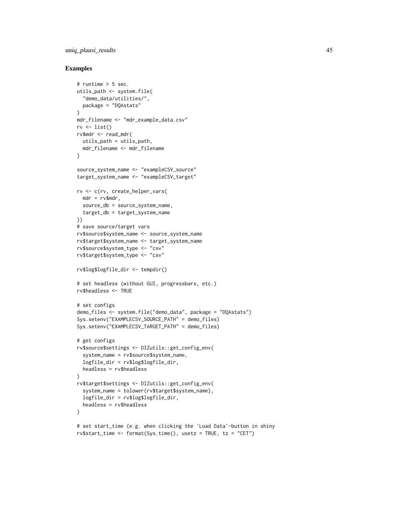# uniq\_plausi\_results 45

```
# runtime > 5 sec.
utils_path <- system.file(
  "demo_data/utilities/",
  package = "DQAstats"
\lambdamdr_filename <- "mdr_example_data.csv"
rv \leftarrow list()rv$mdr <- read_mdr(
 utils_path = utils_path,
 mdr_filename <- mdr_filename
)
source_system_name <- "exampleCSV_source"
target_system_name <- "exampleCSV_target"
rv <- c(rv, create_helper_vars(
 mdr = rv$mdr,
  source_db = source_system_name,
  target_db = target_system_name
))
# save source/target vars
rv$source$system_name <- source_system_name
rv$target$system_name <- target_system_name
rv$source$system_type <- "csv"
rv$target$system_type <- "csv"
rv$log$logfile_dir <- tempdir()
# set headless (without GUI, progressbars, etc.)
rv$headless <- TRUE
# set configs
demo_files <- system.file("demo_data", package = "DQAstats")
Sys.setenv("EXAMPLECSV_SOURCE_PATH" = demo_files)
Sys.setenv("EXAMPLECSV_TARGET_PATH" = demo_files)
# get configs
rv$source$settings <- DIZutils::get_config_env(
  system_name = rv$source$system_name,
  logfile_dir = rv$log$logfile_dir,
  headless = rv$headless
\mathcal{L}rv$target$settings <- DIZutils::get_config_env(
  system_name = tolower(rv$target$system_name),
  logfile_dir = rv$log$logfile_dir,
  headless = rv$headless
)
# set start_time (e.g. when clicking the 'Load Data'-button in shiny
rv$start_time <- format(Sys.time(), usetz = TRUE, tz = "CET")
```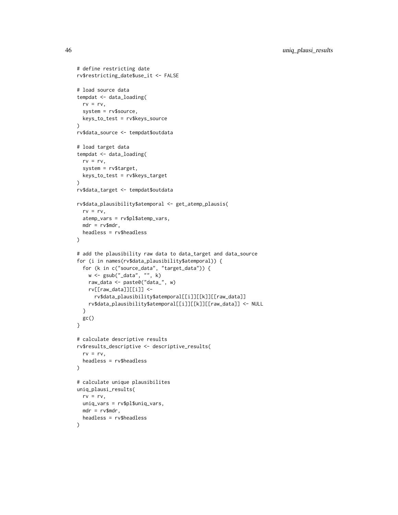```
# define restricting date
rv$restricting_date$use_it <- FALSE
# load source data
tempdat <- data_loading(
 rv = rv,system = rv$source,
  keys_to_test = rv$keys_source
\lambdarv$data_source <- tempdat$outdata
# load target data
tempdat <- data_loading(
  rv = rv,system = rv$target,
 keys_to_test = rv$keys_target
)
rv$data_target <- tempdat$outdata
rv$data_plausibility$atemporal <- get_atemp_plausis(
  rv = rv,atemp_vars = rv$pl$atemp_vars,
 mdr = rv$mdr,
  headless = rv$headless
\lambda# add the plausibility raw data to data_target and data_source
for (i in names(rv$data_plausibility$atemporal)) {
  for (k in c("source_data", "target_data")) {
   w <- gsub("_data", "", k)
   raw_data <- paste0("data_", w)
   rv[[raw_data]][[i]] <-
      rv$data_plausibility$atemporal[[i]][[k]][[raw_data]]
   rv$data_plausibility$atemporal[[i]][[k]][[raw_data]] <- NULL
  }
 gc()
}
# calculate descriptive results
rv$results_descriptive <- descriptive_results(
  rv = rv,headless = rv$headless
\lambda# calculate unique plausibilites
uniq_plausi_results(
 rv = rv,uniq_vars = rv$pl$uniq_vars,
 mdr = rv$mdr,
 headless = rv$headless
\mathcal{L}
```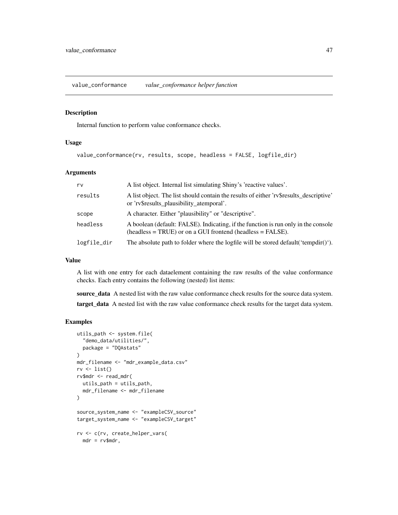<span id="page-46-0"></span>value\_conformance *value\_conformance helper function*

#### Description

Internal function to perform value conformance checks.

# Usage

```
value_conformance(rv, results, scope, headless = FALSE, logfile_dir)
```
# Arguments

| rv          | A list object. Internal list simulating Shiny's 'reactive values'.                                                                                 |
|-------------|----------------------------------------------------------------------------------------------------------------------------------------------------|
| results     | A list object. The list should contain the results of either 'rv\$results_descriptive'<br>or 'rv\$results_plausibility_atemporal'.                 |
| scope       | A character. Either "plausibility" or "descriptive".                                                                                               |
| headless    | A boolean (default: FALSE). Indicating, if the function is run only in the console<br>$(headless = TRUE)$ or on a GUI frontend (headless = FALSE). |
| logfile_dir | The absolute path to folder where the logfile will be stored default ('tempdir()').                                                                |

## Value

A list with one entry for each dataelement containing the raw results of the value conformance checks. Each entry contains the following (nested) list items:

source\_data A nested list with the raw value conformance check results for the source data system.

target\_data A nested list with the raw value conformance check results for the target data system.

```
utils_path <- system.file(
  "demo_data/utilities/",
  package = "DQAstats"
)
mdr_filename <- "mdr_example_data.csv"
rv \leftarrow list()rv$mdr <- read_mdr(
  utils_path = utils_path,
  mdr_filename <- mdr_filename
\mathcal{L}source_system_name <- "exampleCSV_source"
target_system_name <- "exampleCSV_target"
rv <- c(rv, create_helper_vars(
  mdr = rv$mdr,
```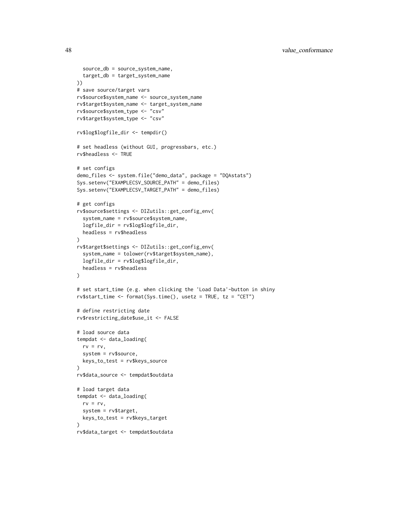```
source_db = source_system_name,
  target_db = target_system_name
))
# save source/target vars
rv$source$system_name <- source_system_name
rv$target$system_name <- target_system_name
rv$source$system_type <- "csv"
rv$target$system_type <- "csv"
rv$log$logfile_dir <- tempdir()
# set headless (without GUI, progressbars, etc.)
rv$headless <- TRUE
# set configs
demo_files <- system.file("demo_data", package = "DQAstats")
Sys.setenv("EXAMPLECSV_SOURCE_PATH" = demo_files)
Sys.setenv("EXAMPLECSV_TARGET_PATH" = demo_files)
# get configs
rv$source$settings <- DIZutils::get_config_env(
  system_name = rv$source$system_name,
  logfile_dir = rv$log$logfile_dir,
  headless = rv$headless
)
rv$target$settings <- DIZutils::get_config_env(
  system_name = tolower(rv$target$system_name),
  logfile_dir = rv$log$logfile_dir,
  headless = rv$headless
)
# set start_time (e.g. when clicking the 'Load Data'-button in shiny
rv$start_time <- format(Sys.time(), usetz = TRUE, tz = "CET")
# define restricting date
rv$restricting_date$use_it <- FALSE
# load source data
tempdat <- data_loading(
  rv = rv,system = rv$source,
  keys_to_test = rv$keys_source
)
rv$data_source <- tempdat$outdata
# load target data
tempdat <- data_loading(
  rv = rv,system = rv$target,
  keys_to_test = rv$keys_target
\mathcal{L}rv$data_target <- tempdat$outdata
```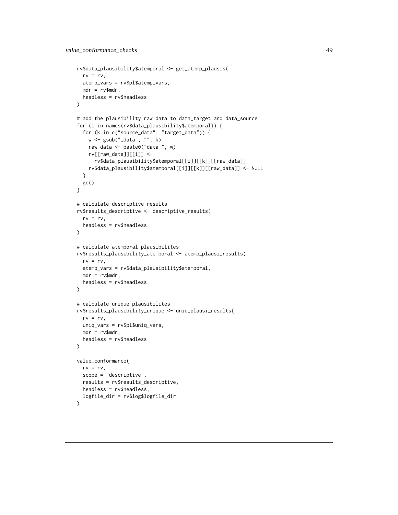```
rv$data_plausibility$atemporal <- get_atemp_plausis(
  rv = rv,atemp_vars = rv$pl$atemp_vars,
  mdr = rv$mdr,
  headless = rv$headless
\lambda# add the plausibility raw data to data_target and data_source
for (i in names(rv$data_plausibility$atemporal)) {
  for (k in c("source_data", "target_data")) {
    w <- gsub("_data", "", k)
   raw_data <- paste0("data_", w)
   rv[[raw_data]][[i]] <-
      rv$data_plausibility$atemporal[[i]][[k]][[raw_data]]
   rv$data_plausibility$atemporal[[i]][[k]][[raw_data]] <- NULL
  }
 gc()
}
# calculate descriptive results
rv$results_descriptive <- descriptive_results(
  rv = rv,
 headless = rv$headless
\lambda# calculate atemporal plausibilites
rv$results_plausibility_atemporal <- atemp_plausi_results(
  rv = rv,atemp_vars = rv$data_plausibility$atemporal,
  mdr = rv$mdr,
  headless = rv$headless
)
# calculate unique plausibilites
rv$results_plausibility_unique <- uniq_plausi_results(
  rv = rv,uniq_vars = rv$pl$uniq_vars,
  mdr = rv$mdr,headless = rv$headless
)
value_conformance(
  rv = rv,
  scope = "descriptive",
  results = rv$results_descriptive,
  headless = rv$headless,
  logfile_dir = rv$log$logfile_dir
\mathcal{L}
```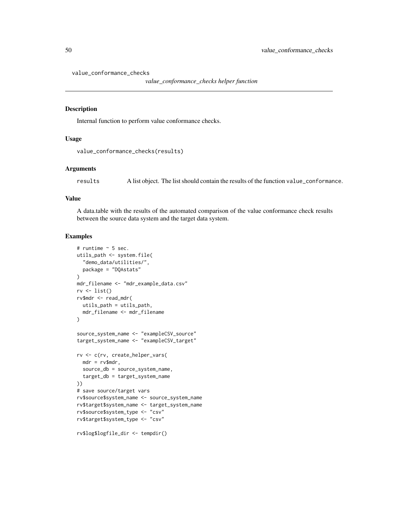value\_conformance\_checks

```
value_conformance_checks helper function
```
#### Description

Internal function to perform value conformance checks.

#### Usage

```
value_conformance_checks(results)
```
#### Arguments

results A list object. The list should contain the results of the function value\_conformance.

#### Value

A data.table with the results of the automated comparison of the value conformance check results between the source data system and the target data system.

```
# runtime ~ 5 sec.
utils_path <- system.file(
  "demo_data/utilities/",
  package = "DQAstats"
\lambdamdr_filename <- "mdr_example_data.csv"
rv \leftarrow list()rv$mdr <- read_mdr(
  utils_path = utils_path,
  mdr_filename <- mdr_filename
)
source_system_name <- "exampleCSV_source"
target_system_name <- "exampleCSV_target"
rv <- c(rv, create_helper_vars(
 mdr = rv$mdr,
  source_db = source_system_name,
  target_db = target_system_name
))
# save source/target vars
rv$source$system_name <- source_system_name
rv$target$system_name <- target_system_name
rv$source$system_type <- "csv"
rv$target$system_type <- "csv"
rv$log$logfile_dir <- tempdir()
```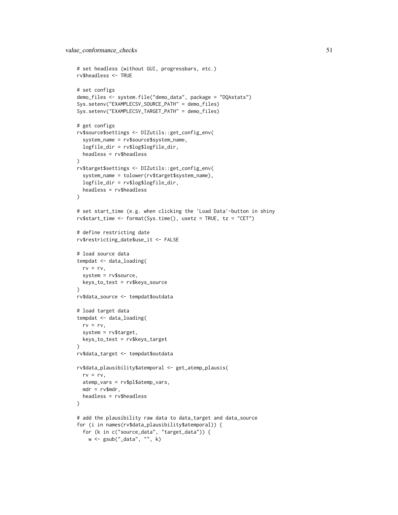```
# set headless (without GUI, progressbars, etc.)
rv$headless <- TRUE
# set configs
demo_files <- system.file("demo_data", package = "DQAstats")
Sys.setenv("EXAMPLECSV_SOURCE_PATH" = demo_files)
Sys.setenv("EXAMPLECSV_TARGET_PATH" = demo_files)
# get configs
rv$source$settings <- DIZutils::get_config_env(
  system_name = rv$source$system_name,
  logfile_dir = rv$log$logfile_dir,
  headless = rv$headless
)
rv$target$settings <- DIZutils::get_config_env(
  system_name = tolower(rv$target$system_name),
  logfile_dir = rv$log$logfile_dir,
  headless = rv$headless
\lambda# set start_time (e.g. when clicking the 'Load Data'-button in shiny
rv$start_time <- format(Sys.time(), usetz = TRUE, tz = "CET")
# define restricting date
rv$restricting_date$use_it <- FALSE
# load source data
tempdat <- data_loading(
 rv = rv,system = rv$source,
  keys_to_test = rv$keys_source
\lambdarv$data_source <- tempdat$outdata
# load target data
tempdat <- data_loading(
 rv = rv,
  system = rv$target,
  keys_to_test = rv$keys_target
\lambdarv$data_target <- tempdat$outdata
rv$data_plausibility$atemporal <- get_atemp_plausis(
  rv = rv,atemp_vars = rv$pl$atemp_vars,
  mdr = rv$mdr,headless = rv$headless
\lambda# add the plausibility raw data to data_target and data_source
for (i in names(rv$data_plausibility$atemporal)) {
  for (k in c("source_data", "target_data")) {
   w <- gsub("_data", "", k)
```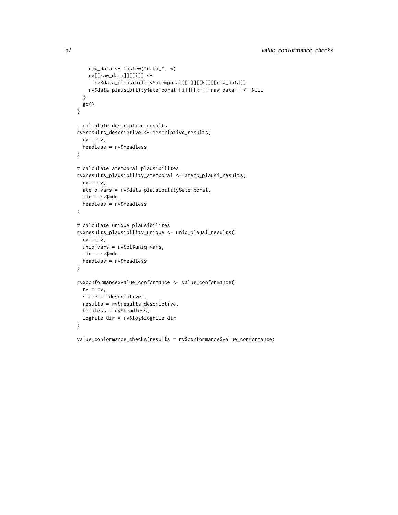```
raw_data <- paste0("data_", w)
   rv[[raw_data]][[i]] <-
      rv$data_plausibility$atemporal[[i]][[k]][[raw_data]]
   rv$data_plausibility$atemporal[[i]][[k]][[raw_data]] <- NULL
  }
 gc()
}
# calculate descriptive results
rv$results_descriptive <- descriptive_results(
  rv = rv,headless = rv$headless
)
# calculate atemporal plausibilites
rv$results_plausibility_atemporal <- atemp_plausi_results(
 rv = rv,atemp_vars = rv$data_plausibility$atemporal,
 mdr = rv$mdr,
 headless = rv$headless
\lambda# calculate unique plausibilites
rv$results_plausibility_unique <- uniq_plausi_results(
  rv = rv,uniq_vars = rv$pl$uniq_vars,
  mdr = rv$mdr,
  headless = rv$headless
)
rv$conformance$value_conformance <- value_conformance(
 rv = rv,scope = "descriptive",
  results = rv$results_descriptive,
  headless = rv$headless,
  logfile_dir = rv$log$logfile_dir
\lambda
```

```
value_conformance_checks(results = rv$conformance$value_conformance)
```